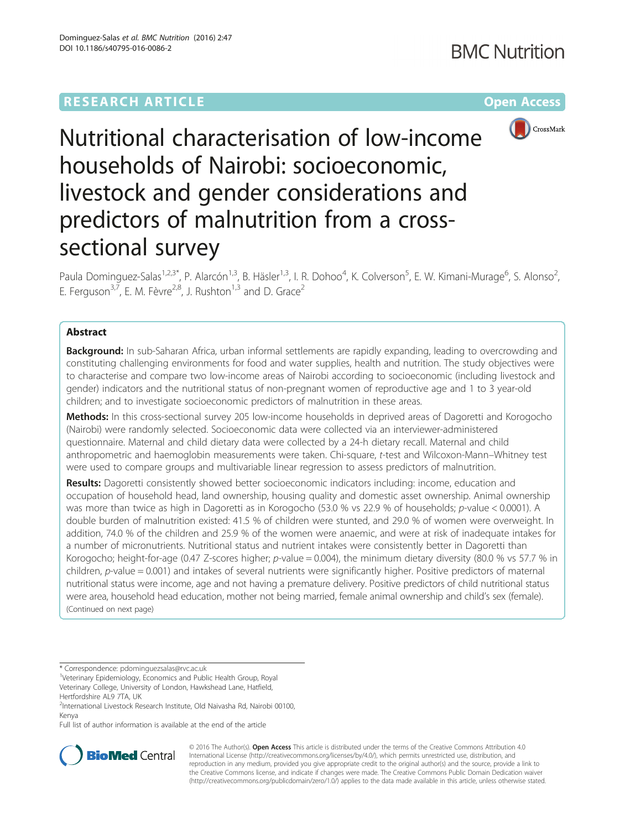

Nutritional characterisation of low-income households of Nairobi: socioeconomic, livestock and gender considerations and predictors of malnutrition from a crosssectional survey

Paula Dominguez-Salas<sup>1,2,3\*</sup>, P. Alarcón<sup>1,3</sup>, B. Häsler<sup>1,3</sup>, I. R. Dohoo<sup>4</sup>, K. Colverson<sup>5</sup>, E. W. Kimani-Murage<sup>6</sup>, S. Alonso<sup>2</sup> , E. Ferguson<sup>3,7</sup>, E. M. Fèvre<sup>2,8</sup>, J. Rushton<sup>1,3</sup> and D. Grace<sup>2</sup>

# Abstract

**Background:** In sub-Saharan Africa, urban informal settlements are rapidly expanding, leading to overcrowding and constituting challenging environments for food and water supplies, health and nutrition. The study objectives were to characterise and compare two low-income areas of Nairobi according to socioeconomic (including livestock and gender) indicators and the nutritional status of non-pregnant women of reproductive age and 1 to 3 year-old children; and to investigate socioeconomic predictors of malnutrition in these areas.

Methods: In this cross-sectional survey 205 low-income households in deprived areas of Dagoretti and Korogocho (Nairobi) were randomly selected. Socioeconomic data were collected via an interviewer-administered questionnaire. Maternal and child dietary data were collected by a 24-h dietary recall. Maternal and child anthropometric and haemoglobin measurements were taken. Chi-square, t-test and Wilcoxon-Mann–Whitney test were used to compare groups and multivariable linear regression to assess predictors of malnutrition.

Results: Dagoretti consistently showed better socioeconomic indicators including: income, education and occupation of household head, land ownership, housing quality and domestic asset ownership. Animal ownership was more than twice as high in Dagoretti as in Korogocho (53.0 % vs 22.9 % of households; p-value < 0.0001). A double burden of malnutrition existed: 41.5 % of children were stunted, and 29.0 % of women were overweight. In addition, 74.0 % of the children and 25.9 % of the women were anaemic, and were at risk of inadequate intakes for a number of micronutrients. Nutritional status and nutrient intakes were consistently better in Dagoretti than Korogocho; height-for-age (0.47 Z-scores higher;  $p$ -value = 0.004), the minimum dietary diversity (80.0 % vs 57.7 % in children, p-value = 0.001) and intakes of several nutrients were significantly higher. Positive predictors of maternal nutritional status were income, age and not having a premature delivery. Positive predictors of child nutritional status were area, household head education, mother not being married, female animal ownership and child's sex (female). (Continued on next page)

Full list of author information is available at the end of the article



© 2016 The Author(s). Open Access This article is distributed under the terms of the Creative Commons Attribution 4.0 International License [\(http://creativecommons.org/licenses/by/4.0/](http://creativecommons.org/licenses/by/4.0/)), which permits unrestricted use, distribution, and reproduction in any medium, provided you give appropriate credit to the original author(s) and the source, provide a link to the Creative Commons license, and indicate if changes were made. The Creative Commons Public Domain Dedication waiver [\(http://creativecommons.org/publicdomain/zero/1.0/](http://creativecommons.org/publicdomain/zero/1.0/)) applies to the data made available in this article, unless otherwise stated.

<sup>\*</sup> Correspondence: [pdominguezsalas@rvc.ac.uk](mailto:pdominguezsalas@rvc.ac.uk) <sup>1</sup>

<sup>&</sup>lt;sup>1</sup>Veterinary Epidemiology, Economics and Public Health Group, Royal Veterinary College, University of London, Hawkshead Lane, Hatfield, Hertfordshire AL9 7TA, UK

<sup>2</sup> International Livestock Research Institute, Old Naivasha Rd, Nairobi 00100, Kenya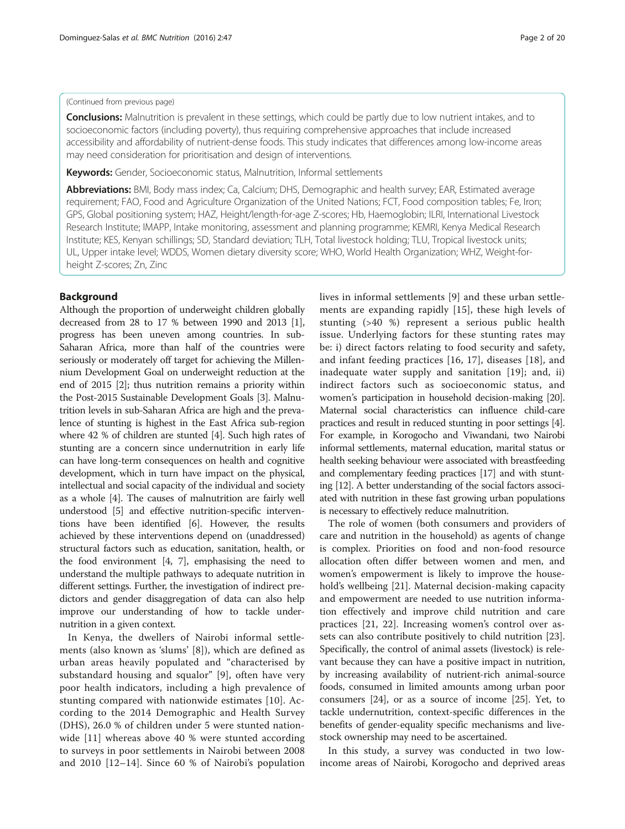### (Continued from previous page)

Conclusions: Malnutrition is prevalent in these settings, which could be partly due to low nutrient intakes, and to socioeconomic factors (including poverty), thus requiring comprehensive approaches that include increased accessibility and affordability of nutrient-dense foods. This study indicates that differences among low-income areas may need consideration for prioritisation and design of interventions.

**Keywords:** Gender, Socioeconomic status, Malnutrition, Informal settlements

**Abbreviations:** BMI, Body mass index; Ca, Calcium; DHS, Demographic and health survey; EAR, Estimated average requirement; FAO, Food and Agriculture Organization of the United Nations; FCT, Food composition tables; Fe, Iron; GPS, Global positioning system; HAZ, Height/length-for-age Z-scores; Hb, Haemoglobin; ILRI, International Livestock Research Institute; IMAPP, Intake monitoring, assessment and planning programme; KEMRI, Kenya Medical Research Institute; KES, Kenyan schillings; SD, Standard deviation; TLH, Total livestock holding; TLU, Tropical livestock units; UL, Upper intake level; WDDS, Women dietary diversity score; WHO, World Health Organization; WHZ, Weight-forheight Z-scores; Zn, Zinc

# Background

Although the proportion of underweight children globally decreased from 28 to 17 % between 1990 and 2013 [[1](#page-18-0)], progress has been uneven among countries. In sub-Saharan Africa, more than half of the countries were seriously or moderately off target for achieving the Millennium Development Goal on underweight reduction at the end of 2015 [\[2](#page-18-0)]; thus nutrition remains a priority within the Post-2015 Sustainable Development Goals [[3\]](#page-18-0). Malnutrition levels in sub-Saharan Africa are high and the prevalence of stunting is highest in the East Africa sub-region where 42 % of children are stunted [\[4](#page-18-0)]. Such high rates of stunting are a concern since undernutrition in early life can have long-term consequences on health and cognitive development, which in turn have impact on the physical, intellectual and social capacity of the individual and society as a whole [\[4\]](#page-18-0). The causes of malnutrition are fairly well understood [\[5\]](#page-18-0) and effective nutrition-specific interventions have been identified [[6\]](#page-18-0). However, the results achieved by these interventions depend on (unaddressed) structural factors such as education, sanitation, health, or the food environment [[4](#page-18-0), [7\]](#page-18-0), emphasising the need to understand the multiple pathways to adequate nutrition in different settings. Further, the investigation of indirect predictors and gender disaggregation of data can also help improve our understanding of how to tackle undernutrition in a given context.

In Kenya, the dwellers of Nairobi informal settlements (also known as 'slums' [\[8](#page-18-0)]), which are defined as urban areas heavily populated and "characterised by substandard housing and squalor" [[9\]](#page-18-0), often have very poor health indicators, including a high prevalence of stunting compared with nationwide estimates [[10\]](#page-18-0). According to the 2014 Demographic and Health Survey (DHS), 26.0 % of children under 5 were stunted nationwide [\[11](#page-18-0)] whereas above 40 % were stunted according to surveys in poor settlements in Nairobi between 2008 and 2010 [[12](#page-18-0)–[14\]](#page-18-0). Since 60 % of Nairobi's population

lives in informal settlements [[9\]](#page-18-0) and these urban settlements are expanding rapidly [[15](#page-18-0)], these high levels of stunting (>40 %) represent a serious public health issue. Underlying factors for these stunting rates may be: i) direct factors relating to food security and safety, and infant feeding practices [\[16](#page-18-0), [17](#page-18-0)], diseases [\[18](#page-18-0)], and inadequate water supply and sanitation [\[19](#page-18-0)]; and, ii) indirect factors such as socioeconomic status, and women's participation in household decision-making [\[20](#page-18-0)]. Maternal social characteristics can influence child-care practices and result in reduced stunting in poor settings [[4](#page-18-0)]. For example, in Korogocho and Viwandani, two Nairobi informal settlements, maternal education, marital status or health seeking behaviour were associated with breastfeeding and complementary feeding practices [\[17\]](#page-18-0) and with stunting [[12\]](#page-18-0). A better understanding of the social factors associated with nutrition in these fast growing urban populations is necessary to effectively reduce malnutrition.

The role of women (both consumers and providers of care and nutrition in the household) as agents of change is complex. Priorities on food and non-food resource allocation often differ between women and men, and women's empowerment is likely to improve the household's wellbeing [\[21](#page-18-0)]. Maternal decision-making capacity and empowerment are needed to use nutrition information effectively and improve child nutrition and care practices [\[21](#page-18-0), [22\]](#page-18-0). Increasing women's control over assets can also contribute positively to child nutrition [\[23](#page-18-0)]. Specifically, the control of animal assets (livestock) is relevant because they can have a positive impact in nutrition, by increasing availability of nutrient-rich animal-source foods, consumed in limited amounts among urban poor consumers [[24](#page-18-0)], or as a source of income [[25](#page-18-0)]. Yet, to tackle undernutrition, context-specific differences in the benefits of gender-equality specific mechanisms and livestock ownership may need to be ascertained.

In this study, a survey was conducted in two lowincome areas of Nairobi, Korogocho and deprived areas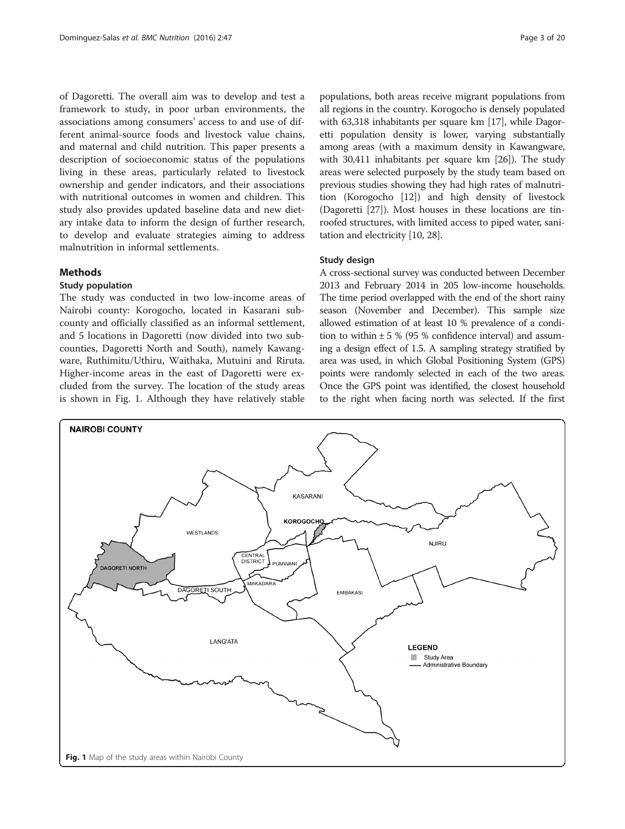of Dagoretti. The overall aim was to develop and test a framework to study, in poor urban environments, the associations among consumers' access to and use of different animal-source foods and livestock value chains, and maternal and child nutrition. This paper presents a description of socioeconomic status of the populations living in these areas, particularly related to livestock ownership and gender indicators, and their associations with nutritional outcomes in women and children. This study also provides updated baseline data and new dietary intake data to inform the design of further research, to develop and evaluate strategies aiming to address malnutrition in informal settlements.

### **Methods**

# Study population

The study was conducted in two low-income areas of Nairobi county: Korogocho, located in Kasarani subcounty and officially classified as an informal settlement, and 5 locations in Dagoretti (now divided into two subcounties, Dagoretti North and South), namely Kawangware, Ruthimitu/Uthiru, Waithaka, Mutuini and Riruta. Higher-income areas in the east of Dagoretti were excluded from the survey. The location of the study areas is shown in Fig. 1. Although they have relatively stable

populations, both areas receive migrant populations from all regions in the country. Korogocho is densely populated with 63,318 inhabitants per square km [\[17\]](#page-18-0), while Dagoretti population density is lower, varying substantially among areas (with a maximum density in Kawangware, with 30,411 inhabitants per square km [[26](#page-18-0)]). The study areas were selected purposely by the study team based on previous studies showing they had high rates of malnutrition (Korogocho [\[12\]](#page-18-0)) and high density of livestock (Dagoretti [[27](#page-18-0)]). Most houses in these locations are tinroofed structures, with limited access to piped water, sanitation and electricity [[10](#page-18-0), [28\]](#page-18-0).

### Study design

A cross-sectional survey was conducted between December 2013 and February 2014 in 205 low-income households. The time period overlapped with the end of the short rainy season (November and December). This sample size allowed estimation of at least 10 % prevalence of a condition to within  $\pm$  5 % (95 % confidence interval) and assuming a design effect of 1.5. A sampling strategy stratified by area was used, in which Global Positioning System (GPS) points were randomly selected in each of the two areas. Once the GPS point was identified, the closest household to the right when facing north was selected. If the first

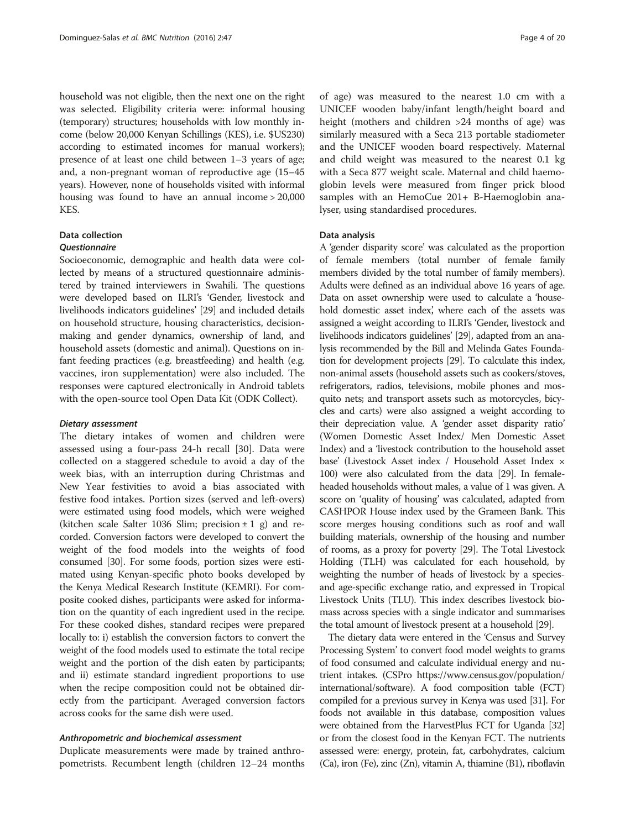household was not eligible, then the next one on the right was selected. Eligibility criteria were: informal housing (temporary) structures; households with low monthly income (below 20,000 Kenyan Schillings (KES), i.e. \$US230) according to estimated incomes for manual workers); presence of at least one child between 1–3 years of age; and, a non-pregnant woman of reproductive age (15–45 years). However, none of households visited with informal housing was found to have an annual income > 20,000 KES.

### Data collection

#### **Questionnaire**

Socioeconomic, demographic and health data were collected by means of a structured questionnaire administered by trained interviewers in Swahili. The questions were developed based on ILRI's 'Gender, livestock and livelihoods indicators guidelines' [\[29](#page-18-0)] and included details on household structure, housing characteristics, decisionmaking and gender dynamics, ownership of land, and household assets (domestic and animal). Questions on infant feeding practices (e.g. breastfeeding) and health (e.g. vaccines, iron supplementation) were also included. The responses were captured electronically in Android tablets with the open-source tool Open Data Kit (ODK Collect).

### Dietary assessment

The dietary intakes of women and children were assessed using a four-pass 24-h recall [\[30](#page-18-0)]. Data were collected on a staggered schedule to avoid a day of the week bias, with an interruption during Christmas and New Year festivities to avoid a bias associated with festive food intakes. Portion sizes (served and left-overs) were estimated using food models, which were weighed (kitchen scale Salter 1036 Slim; precision  $\pm$  1 g) and recorded. Conversion factors were developed to convert the weight of the food models into the weights of food consumed [[30](#page-18-0)]. For some foods, portion sizes were estimated using Kenyan-specific photo books developed by the Kenya Medical Research Institute (KEMRI). For composite cooked dishes, participants were asked for information on the quantity of each ingredient used in the recipe. For these cooked dishes, standard recipes were prepared locally to: i) establish the conversion factors to convert the weight of the food models used to estimate the total recipe weight and the portion of the dish eaten by participants; and ii) estimate standard ingredient proportions to use when the recipe composition could not be obtained directly from the participant. Averaged conversion factors across cooks for the same dish were used.

#### Anthropometric and biochemical assessment

Duplicate measurements were made by trained anthropometrists. Recumbent length (children 12–24 months

of age) was measured to the nearest 1.0 cm with a UNICEF wooden baby/infant length/height board and height (mothers and children >24 months of age) was similarly measured with a Seca 213 portable stadiometer and the UNICEF wooden board respectively. Maternal and child weight was measured to the nearest 0.1 kg with a Seca 877 weight scale. Maternal and child haemoglobin levels were measured from finger prick blood samples with an HemoCue 201+ B-Haemoglobin analyser, using standardised procedures.

### Data analysis

A 'gender disparity score' was calculated as the proportion of female members (total number of female family members divided by the total number of family members). Adults were defined as an individual above 16 years of age. Data on asset ownership were used to calculate a 'household domestic asset index, where each of the assets was assigned a weight according to ILRI's 'Gender, livestock and livelihoods indicators guidelines' [[29](#page-18-0)], adapted from an analysis recommended by the Bill and Melinda Gates Foundation for development projects [[29\]](#page-18-0). To calculate this index, non-animal assets (household assets such as cookers/stoves, refrigerators, radios, televisions, mobile phones and mosquito nets; and transport assets such as motorcycles, bicycles and carts) were also assigned a weight according to their depreciation value. A 'gender asset disparity ratio' (Women Domestic Asset Index/ Men Domestic Asset Index) and a 'livestock contribution to the household asset base' (Livestock Asset index / Household Asset Index × 100) were also calculated from the data [\[29\]](#page-18-0). In femaleheaded households without males, a value of 1 was given. A score on 'quality of housing' was calculated, adapted from CASHPOR House index used by the Grameen Bank. This score merges housing conditions such as roof and wall building materials, ownership of the housing and number of rooms, as a proxy for poverty [\[29\]](#page-18-0). The Total Livestock Holding (TLH) was calculated for each household, by weighting the number of heads of livestock by a speciesand age-specific exchange ratio, and expressed in Tropical Livestock Units (TLU). This index describes livestock biomass across species with a single indicator and summarises the total amount of livestock present at a household [[29](#page-18-0)].

The dietary data were entered in the 'Census and Survey Processing System' to convert food model weights to grams of food consumed and calculate individual energy and nutrient intakes. (CSPro [https://www.census.gov/population/](https://www.census.gov/population/international/software) [international/software\)](https://www.census.gov/population/international/software). A food composition table (FCT) compiled for a previous survey in Kenya was used [[31](#page-18-0)]. For foods not available in this database, composition values were obtained from the HarvestPlus FCT for Uganda [\[32](#page-18-0)] or from the closest food in the Kenyan FCT. The nutrients assessed were: energy, protein, fat, carbohydrates, calcium (Ca), iron (Fe), zinc (Zn), vitamin A, thiamine (B1), riboflavin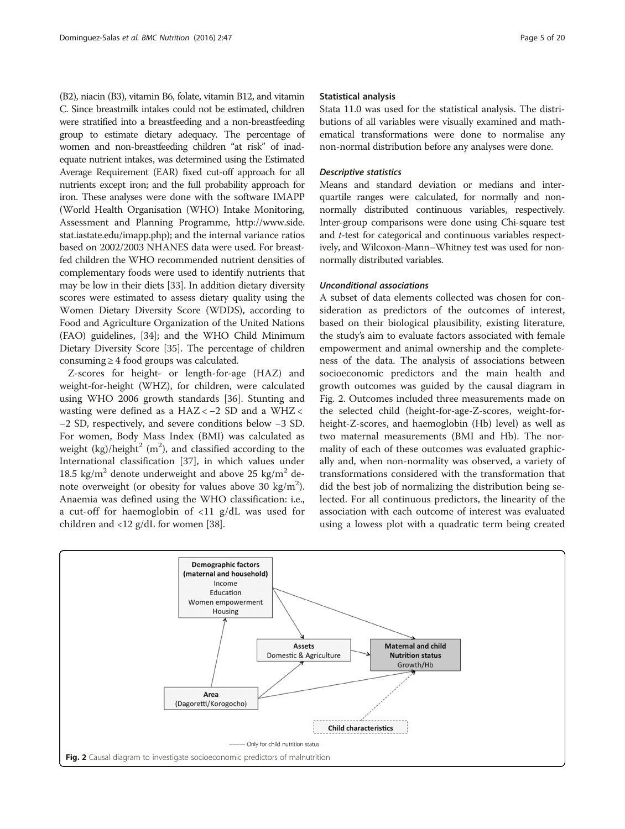(B2), niacin (B3), vitamin B6, folate, vitamin B12, and vitamin C. Since breastmilk intakes could not be estimated, children were stratified into a breastfeeding and a non-breastfeeding group to estimate dietary adequacy. The percentage of women and non-breastfeeding children "at risk" of inadequate nutrient intakes, was determined using the Estimated Average Requirement (EAR) fixed cut-off approach for all nutrients except iron; and the full probability approach for iron. These analyses were done with the software IMAPP (World Health Organisation (WHO) Intake Monitoring, Assessment and Planning Programme, [http://www.side.](http://www.side.stat.iastate.edu/imapp.php) [stat.iastate.edu/imapp.php\)](http://www.side.stat.iastate.edu/imapp.php); and the internal variance ratios based on 2002/2003 NHANES data were used. For breastfed children the WHO recommended nutrient densities of complementary foods were used to identify nutrients that may be low in their diets [\[33\]](#page-18-0). In addition dietary diversity scores were estimated to assess dietary quality using the Women Dietary Diversity Score (WDDS), according to Food and Agriculture Organization of the United Nations (FAO) guidelines, [[34](#page-18-0)]; and the WHO Child Minimum Dietary Diversity Score [\[35\]](#page-18-0). The percentage of children consuming ≥ 4 food groups was calculated.

Z-scores for height- or length-for-age (HAZ) and weight-for-height (WHZ), for children, were calculated using WHO 2006 growth standards [[36](#page-18-0)]. Stunting and wasting were defined as a HAZ < −2 SD and a WHZ < −2 SD, respectively, and severe conditions below −3 SD. For women, Body Mass Index (BMI) was calculated as weight  $(kg)/\text{height}^2$  (m<sup>2</sup>), and classified according to the International classification [[37](#page-18-0)], in which values under 18.5 kg/m<sup>2</sup> denote underweight and above 25 kg/m<sup>2</sup> denote overweight (or obesity for values above 30 kg/m<sup>2</sup>). Anaemia was defined using the WHO classification: i.e., a cut-off for haemoglobin of <11 g/dL was used for children and <12 g/dL for women [[38](#page-18-0)].

### Statistical analysis

Stata 11.0 was used for the statistical analysis. The distributions of all variables were visually examined and mathematical transformations were done to normalise any non-normal distribution before any analyses were done.

### Descriptive statistics

Means and standard deviation or medians and interquartile ranges were calculated, for normally and nonnormally distributed continuous variables, respectively. Inter-group comparisons were done using Chi-square test and t-test for categorical and continuous variables respectively, and Wilcoxon-Mann–Whitney test was used for nonnormally distributed variables.

### Unconditional associations

A subset of data elements collected was chosen for consideration as predictors of the outcomes of interest, based on their biological plausibility, existing literature, the study's aim to evaluate factors associated with female empowerment and animal ownership and the completeness of the data. The analysis of associations between socioeconomic predictors and the main health and growth outcomes was guided by the causal diagram in Fig. 2. Outcomes included three measurements made on the selected child (height-for-age-Z-scores, weight-forheight-Z-scores, and haemoglobin (Hb) level) as well as two maternal measurements (BMI and Hb). The normality of each of these outcomes was evaluated graphically and, when non-normality was observed, a variety of transformations considered with the transformation that did the best job of normalizing the distribution being selected. For all continuous predictors, the linearity of the association with each outcome of interest was evaluated using a lowess plot with a quadratic term being created

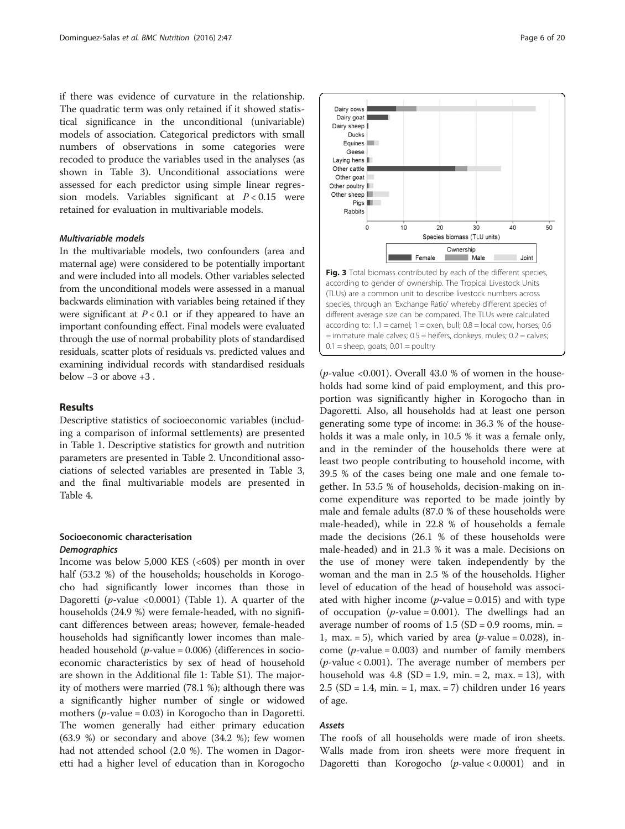<span id="page-5-0"></span>if there was evidence of curvature in the relationship. The quadratic term was only retained if it showed statistical significance in the unconditional (univariable) models of association. Categorical predictors with small numbers of observations in some categories were recoded to produce the variables used in the analyses (as shown in Table [3\)](#page-12-0). Unconditional associations were assessed for each predictor using simple linear regression models. Variables significant at  $P < 0.15$  were retained for evaluation in multivariable models.

### Multivariable models

In the multivariable models, two confounders (area and maternal age) were considered to be potentially important and were included into all models. Other variables selected from the unconditional models were assessed in a manual backwards elimination with variables being retained if they were significant at  $P < 0.1$  or if they appeared to have an important confounding effect. Final models were evaluated through the use of normal probability plots of standardised residuals, scatter plots of residuals vs. predicted values and examining individual records with standardised residuals below −3 or above +3 .

### Results

Descriptive statistics of socioeconomic variables (including a comparison of informal settlements) are presented in Table [1.](#page-6-0) Descriptive statistics for growth and nutrition parameters are presented in Table [2](#page-8-0). Unconditional associations of selected variables are presented in Table [3](#page-12-0), and the final multivariable models are presented in Table [4.](#page-13-0)

## Socioeconomic characterisation **Demographics**

Income was below 5,000 KES (<60\$) per month in over half (53.2 %) of the households; households in Korogocho had significantly lower incomes than those in Dagoretti ( $p$ -value <0.0001) (Table [1\)](#page-6-0). A quarter of the households (24.9 %) were female-headed, with no significant differences between areas; however, female-headed households had significantly lower incomes than maleheaded household  $(p$ -value = 0.006) (differences in socioeconomic characteristics by sex of head of household are shown in the Additional file [1](#page-17-0): Table S1). The majority of mothers were married (78.1 %); although there was a significantly higher number of single or widowed mothers ( $p$ -value = 0.03) in Korogocho than in Dagoretti. The women generally had either primary education (63.9 %) or secondary and above (34.2 %); few women had not attended school (2.0 %). The women in Dagoretti had a higher level of education than in Korogocho



( $p$ -value <0.001). Overall 43.0 % of women in the households had some kind of paid employment, and this proportion was significantly higher in Korogocho than in Dagoretti. Also, all households had at least one person generating some type of income: in 36.3 % of the households it was a male only, in 10.5 % it was a female only, and in the reminder of the households there were at least two people contributing to household income, with 39.5 % of the cases being one male and one female together. In 53.5 % of households, decision-making on income expenditure was reported to be made jointly by male and female adults (87.0 % of these households were male-headed), while in 22.8 % of households a female made the decisions (26.1 % of these households were male-headed) and in 21.3 % it was a male. Decisions on the use of money were taken independently by the woman and the man in 2.5 % of the households. Higher level of education of the head of household was associated with higher income  $(p$ -value = 0.015) and with type of occupation ( $p$ -value = 0.001). The dwellings had an average number of rooms of  $1.5$  (SD = 0.9 rooms, min. = 1, max. = 5), which varied by area (*p*-value = 0.028), income  $(p$ -value = 0.003) and number of family members (*p*-value < 0.001). The average number of members per household was  $4.8$  (SD = 1.9, min. = 2, max. = 13), with 2.5 (SD = 1.4, min. = 1, max. = 7) children under 16 years of age.

# Assets

The roofs of all households were made of iron sheets. Walls made from iron sheets were more frequent in Dagoretti than Korogocho ( $p$ -value < 0.0001) and in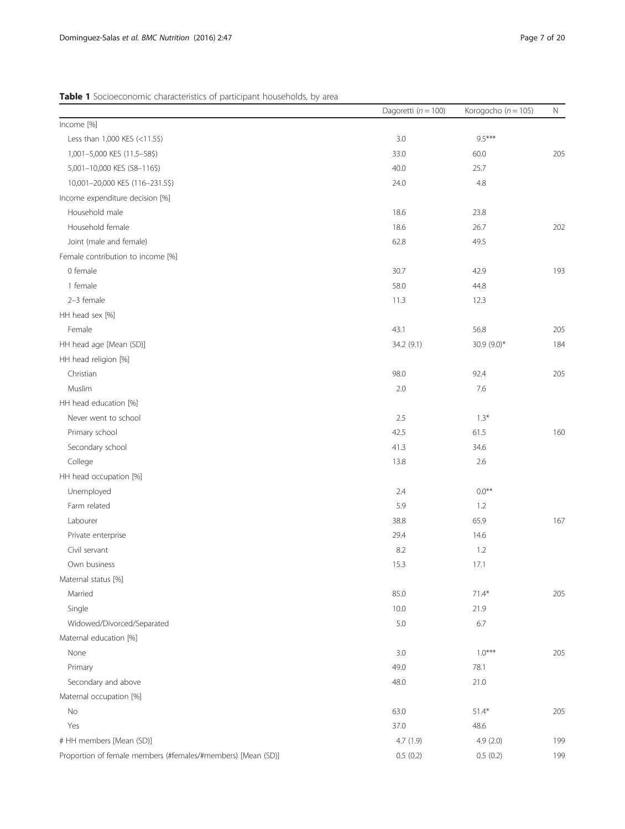# <span id="page-6-0"></span>Table 1 Socioeconomic characteristics of participant households, by area

|                                                              | Dagoretti ( $n = 100$ ) | Korogocho ( $n = 105$ ) | N   |
|--------------------------------------------------------------|-------------------------|-------------------------|-----|
| Income [%]                                                   |                         |                         |     |
| Less than 1,000 KES (<11.5\$)                                | 3.0                     | $9.5***$                |     |
| 1,001-5,000 KES (11.5-58\$)                                  | 33.0                    | 60.0                    | 205 |
| 5,001-10,000 KES (58-116\$)                                  | 40.0                    | 25.7                    |     |
| 10,001-20,000 KES (116-231.5\$)                              | 24.0                    | 4.8                     |     |
| Income expenditure decision [%]                              |                         |                         |     |
| Household male                                               | 18.6                    | 23.8                    |     |
| Household female                                             | 18.6                    | 26.7                    | 202 |
| Joint (male and female)                                      | 62.8                    | 49.5                    |     |
| Female contribution to income [%]                            |                         |                         |     |
| 0 female                                                     | 30.7                    | 42.9                    | 193 |
| 1 female                                                     | 58.0                    | 44.8                    |     |
| 2-3 female                                                   | 11.3                    | 12.3                    |     |
| HH head sex [%]                                              |                         |                         |     |
| Female                                                       | 43.1                    | 56.8                    | 205 |
| HH head age [Mean (SD)]                                      | 34.2 (9.1)              | 30.9 (9.0)*             | 184 |
| HH head religion [%]                                         |                         |                         |     |
| Christian                                                    | 98.0                    | 92.4                    | 205 |
| Muslim                                                       | 2.0                     | 7.6                     |     |
| HH head education [%]                                        |                         |                         |     |
| Never went to school                                         | 2.5                     | $1.3*$                  |     |
| Primary school                                               | 42.5                    | 61.5                    | 160 |
| Secondary school                                             | 41.3                    | 34.6                    |     |
| College                                                      | 13.8                    | 2.6                     |     |
| HH head occupation [%]                                       |                         |                         |     |
| Unemployed                                                   | 2.4                     | $0.0**$                 |     |
| Farm related                                                 | 5.9                     | 1.2                     |     |
| Labourer                                                     | 38.8                    | 65.9                    | 167 |
| Private enterprise                                           | 29.4                    | 14.6                    |     |
| Civil servant                                                | 8.2                     | 1.2                     |     |
| Own business                                                 | 15.3                    | 17.1                    |     |
| Maternal status [%]                                          |                         |                         |     |
| Married                                                      | 85.0                    | $71.4*$                 | 205 |
| Single                                                       | 10.0                    | 21.9                    |     |
| Widowed/Divorced/Separated                                   | 5.0                     | 6.7                     |     |
| Maternal education [%]                                       |                         |                         |     |
| None                                                         | 3.0                     | $1.0***$                | 205 |
| Primary                                                      | 49.0                    | 78.1                    |     |
| Secondary and above                                          | 48.0                    | 21.0                    |     |
| Maternal occupation [%]                                      |                         |                         |     |
| No                                                           | 63.0                    | $51.4*$                 | 205 |
| Yes                                                          | 37.0                    | 48.6                    |     |
| # HH members [Mean (SD)]                                     | 4.7(1.9)                | 4.9(2.0)                | 199 |
| Proportion of female members (#females/#members) [Mean (SD)] | 0.5(0.2)                | 0.5(0.2)                | 199 |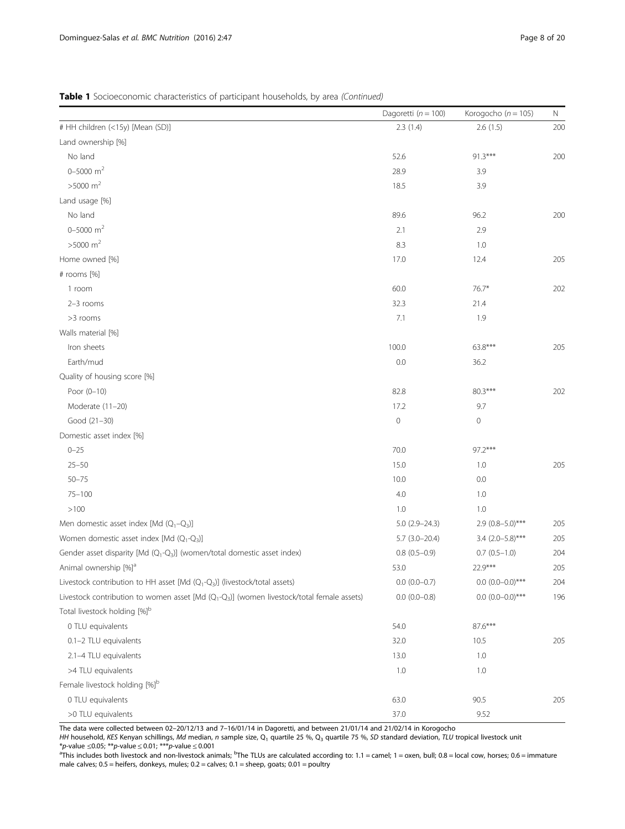# Table 1 Socioeconomic characteristics of participant households, by area (Continued)

|                                                                                               | Dagoretti ( $n = 100$ ) | Korogocho ( $n = 105$ ) | Ν   |
|-----------------------------------------------------------------------------------------------|-------------------------|-------------------------|-----|
| # HH children (<15y) [Mean (SD)]                                                              | 2.3(1.4)                | 2.6(1.5)                | 200 |
| Land ownership [%]                                                                            |                         |                         |     |
| No land                                                                                       | 52.6                    | 91.3***                 | 200 |
| 0-5000 $m2$                                                                                   | 28.9                    | 3.9                     |     |
| $>5000 \; \text{m}^2$                                                                         | 18.5                    | 3.9                     |     |
| Land usage [%]                                                                                |                         |                         |     |
| No land                                                                                       | 89.6                    | 96.2                    | 200 |
| 0-5000 $m2$                                                                                   | 2.1                     | 2.9                     |     |
| $>5000 \; \text{m}^2$                                                                         | 8.3                     | 1.0                     |     |
| Home owned [%]                                                                                | 17.0                    | 12.4                    | 205 |
| # rooms [%]                                                                                   |                         |                         |     |
| 1 room                                                                                        | 60.0                    | $76.7*$                 | 202 |
| $2-3$ rooms                                                                                   | 32.3                    | 21.4                    |     |
| >3 rooms                                                                                      | 7.1                     | 1.9                     |     |
| Walls material [%]                                                                            |                         |                         |     |
| Iron sheets                                                                                   | 100.0                   | 63.8***                 | 205 |
| Earth/mud                                                                                     | 0.0                     | 36.2                    |     |
| Quality of housing score [%]                                                                  |                         |                         |     |
| Poor (0-10)                                                                                   | 82.8                    | 80.3***                 | 202 |
| Moderate (11-20)                                                                              | 17.2                    | 9.7                     |     |
| Good (21-30)                                                                                  | $\mathsf{O}\xspace$     | 0                       |     |
| Domestic asset index [%]                                                                      |                         |                         |     |
| $0 - 25$                                                                                      | 70.0                    | 97.2***                 |     |
| $25 - 50$                                                                                     | 15.0                    | 1.0                     | 205 |
| $50 - 75$                                                                                     | 10.0                    | 0.0                     |     |
| $75 - 100$                                                                                    | 4.0                     | 1.0                     |     |
| >100                                                                                          | 1.0                     | 1.0                     |     |
| Men domestic asset index [Md $(Q_1-Q_3)$ ]                                                    | $5.0(2.9 - 24.3)$       | $2.9(0.8-5.0)$ ***      | 205 |
| Women domestic asset index [Md $(Q_1-Q_3)$ ]                                                  | $5.7(3.0-20.4)$         | $3.4$ (2.0-5.8)***      | 205 |
| Gender asset disparity [Md $(Q_1-Q_3)$ ] (women/total domestic asset index)                   | $0.8(0.5-0.9)$          | $0.7(0.5-1.0)$          | 204 |
| Animal ownership [%] <sup>a</sup>                                                             | 53.0                    | 22.9***                 | 205 |
| Livestock contribution to HH asset [Md $(Q_1-Q_3)$ ] (livestock/total assets)                 | $0.0 (0.0 - 0.7)$       | $0.0$ $(0.0-0.0)$ ***   | 204 |
| Livestock contribution to women asset [Md $(Q_1-Q_3)$ ] (women livestock/total female assets) | $0.0 (0.0 - 0.8)$       | $0.0$ $(0.0-0.0)$ ***   | 196 |
| Total livestock holding [%] <sup>b</sup>                                                      |                         |                         |     |
| 0 TLU equivalents                                                                             | 54.0                    | 87.6***                 |     |
| 0.1-2 TLU equivalents                                                                         | 32.0                    | 10.5                    | 205 |
| 2.1-4 TLU equivalents                                                                         | 13.0                    | 1.0                     |     |
| >4 TLU equivalents                                                                            | 1.0                     | 1.0                     |     |
| Female livestock holding [%] <sup>b</sup>                                                     |                         |                         |     |
| 0 TLU equivalents                                                                             | 63.0                    | 90.5                    | 205 |
| >0 TLU equivalents                                                                            | 37.0                    | 9.52                    |     |

The data were collected between 02–20/12/13 and 7–16/01/14 in Dagoretti, and between 21/01/14 and 21/02/14 in Korogocho

HH household, KES Kenyan schillings, Md median, n sample size, Q<sub>1</sub> quartile 25 %, Q<sub>3</sub> quartile 75 %, SD standard deviation, TLU tropical livestock unit

\**p*-value ≤0.05; \*\**p-*value ≤ 0.01; \*\*\**p-*value ≤ 0.001<br><sup>a</sup>This includes both livestock and non-livestock animals; <sup>b</sup>The TLUs are calculated according to: 1.1 = camel; 1 = oxen, bull; 0.8 = local cow, horses; 0.6 = im male calves; 0.5 = heifers, donkeys, mules; 0.2 = calves; 0.1 = sheep, goats; 0.01 = poultry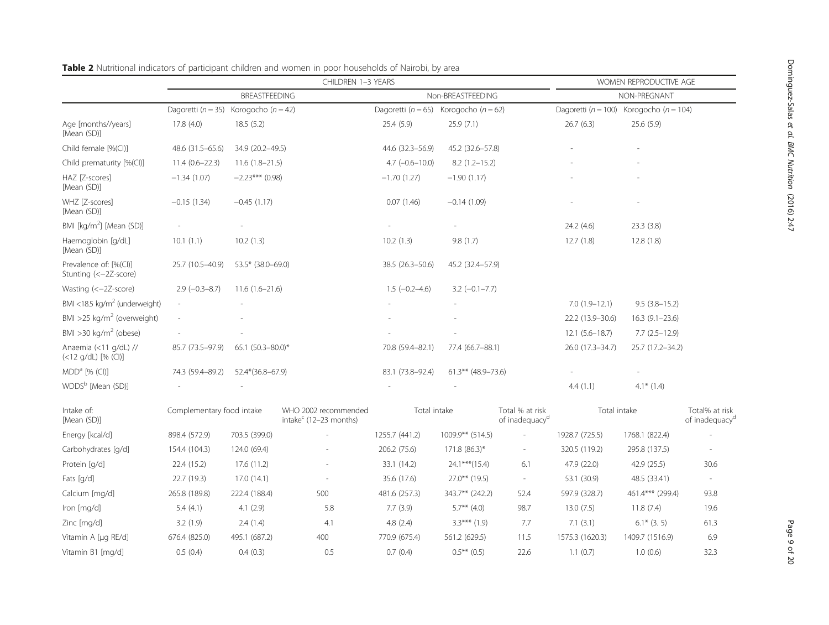|                                                 | CHILDREN 1-3 YEARS       |                        |  |                        |                        |                         | WOMEN REPRODUCTIVE AGE  |  |  |  |
|-------------------------------------------------|--------------------------|------------------------|--|------------------------|------------------------|-------------------------|-------------------------|--|--|--|
|                                                 | <b>BREASTFEEDING</b>     |                        |  | Non-BREASTFEEDING      |                        |                         | NON-PREGNANT            |  |  |  |
|                                                 | Dagoretti ( $n = 35$ )   | Korogocho ( $n = 42$ ) |  | Dagoretti ( $n = 65$ ) | Korogocho ( $n = 62$ ) | Dagoretti ( $n = 100$ ) | Korogocho ( $n = 104$ ) |  |  |  |
| Age [months//years]<br>[Mean (SD)]              | 17.8(4.0)                | 18.5(5.2)              |  | 25.4(5.9)              | 25.9(7.1)              | 26.7(6.3)               | 25.6(5.9)               |  |  |  |
| Child female [%(Cl)]                            | 48.6 (31.5-65.6)         | 34.9 (20.2-49.5)       |  | 44.6 (32.3-56.9)       | 45.2 (32.6-57.8)       |                         |                         |  |  |  |
| Child prematurity [%(Cl)]                       | $11.4(0.6 - 22.3)$       | $11.6(1.8-21.5)$       |  | $4.7$ $(-0.6 - 10.0)$  | $8.2(1.2 - 15.2)$      |                         |                         |  |  |  |
| HAZ [Z-scores]<br>[Mean (SD)]                   | $-1.34(1.07)$            | $-2.23***$ (0.98)      |  | $-1.70(1.27)$          | $-1.90(1.17)$          |                         |                         |  |  |  |
| WHZ [Z-scores]<br>[Mean (SD)]                   | $-0.15(1.34)$            | $-0.45(1.17)$          |  | 0.07(1.46)             | $-0.14(1.09)$          |                         |                         |  |  |  |
| BMI [kg/m <sup>2</sup> ] [Mean (SD)]            | $\overline{\phantom{a}}$ | ×,                     |  |                        | $\sim$                 | 24.2 (4.6)              | 23.3(3.8)               |  |  |  |
| Haemoglobin [g/dL]<br>[Mean (SD)]               | 10.1(1.1)                | 10.2(1.3)              |  | 10.2(1.3)              | 9.8(1.7)               | 12.7(1.8)               | 12.8(1.8)               |  |  |  |
| Prevalence of: [%(Cl)]<br>Stunting (<-2Z-score) | 25.7 (10.5-40.9)         | 53.5* (38.0-69.0)      |  | 38.5 (26.3-50.6)       | 45.2 (32.4-57.9)       |                         |                         |  |  |  |
| Wasting (<-2Z-score)                            | $2.9$ (-0.3-8.7)         | $11.6(1.6-21.6)$       |  | $1.5$ (-0.2-4.6)       | $3.2$ (-0.1-7.7)       |                         |                         |  |  |  |
| BMI <18.5 kg/m <sup>2</sup> (underweight)       | $\overline{\phantom{a}}$ |                        |  |                        |                        | $7.0(1.9-12.1)$         | $9.5(3.8-15.2)$         |  |  |  |
| BMI >25 kg/m <sup>2</sup> (overweight)          | $\overline{\phantom{a}}$ |                        |  |                        |                        | 22.2 (13.9-30.6)        | $16.3(9.1-23.6)$        |  |  |  |
| $BMI > 30$ kg/m <sup>2</sup> (obese)            |                          |                        |  |                        |                        | $12.1 (5.6 - 18.7)$     | $7.7(2.5-12.9)$         |  |  |  |
| Anaemia (<11 g/dL) //<br>(<12 g/dL) [% (Cl)]    | 85.7 (73.5-97.9)         | 65.1 (50.3-80.0)*      |  | 70.8 (59.4-82.1)       | 77.4 (66.7–88.1)       | 26.0 (17.3-34.7)        | 25.7 (17.2-34.2)        |  |  |  |
| $MDDa$ [% (CI)]                                 | 74.3 (59.4-89.2)         | $52.4*(36.8-67.9)$     |  | 83.1 (73.8-92.4)       | $61.3***$ (48.9-73.6)  |                         |                         |  |  |  |
| WDDS <sup>b</sup> [Mean (SD)]                   | $\overline{\phantom{a}}$ |                        |  |                        |                        | 4.4(1.1)                | $4.1*$ (1.4)            |  |  |  |

<span id="page-8-0"></span>

| Table 2 Nutritional indicators of participant children and women in poor households of Nairobi, by area |  |
|---------------------------------------------------------------------------------------------------------|--|
|---------------------------------------------------------------------------------------------------------|--|

| Intake of:<br>[Mean (SD)] | Complementary food intake |               | WHO 2002 recommended<br>intake <sup>c</sup> $(12-23$ months) | Total intake   |                  | Total % at risk<br>of inadequacy <sup>d</sup> | Total intake    |                  | Total% at risk<br>of inadequacy <sup>d</sup> |
|---------------------------|---------------------------|---------------|--------------------------------------------------------------|----------------|------------------|-----------------------------------------------|-----------------|------------------|----------------------------------------------|
| Energy [kcal/d]           | 898.4 (572.9)             | 703.5 (399.0) |                                                              | 1255.7 (441.2) | 1009.9** (514.5) | ۰.                                            | 1928.7 (725.5)  | 1768.1 (822.4)   |                                              |
| Carbohydrates [q/d]       | 154.4 (104.3)             | 124.0 (69.4)  |                                                              | 206.2 (75.6)   | 171.8 (86.3)*    |                                               | 320.5 (119.2)   | 295.8 (137.5)    | $\sim$                                       |
| Protein [q/d]             | 22.4 (15.2)               | 17.6(11.2)    |                                                              | 33.1 (14.2)    | $24.1***$ (15.4) | 6.1                                           | 47.9 (22.0)     | 42.9 (25.5)      | 30.6                                         |
| Fats [g/d]                | 22.7(19.3)                | 17.0(14.1)    |                                                              | 35.6 (17.6)    | $27.0***$ (19.5) |                                               | 53.1 (30.9)     | 48.5 (33.41)     | $\sim$                                       |
| Calcium [mg/d]            | 265.8 (189.8)             | 222.4 (188.4) | 500                                                          | 481.6 (257.3)  | 343.7** (242.2)  | 52.4                                          | 597.9 (328.7)   | 461.4*** (299.4) | 93.8                                         |
| Iron [mg/d]               | 5.4(4.1)                  | 4.1(2.9)      | 5.8                                                          | 7.7(3.9)       | $5.7**$ (4.0)    | 98.7                                          | 13.0(7.5)       | 11.8(7.4)        | 19.6                                         |
| Zinc [mg/d]               | 3.2(1.9)                  | 2.4(1.4)      | 4.1                                                          | 4.8(2.4)       | $3.3***$ (1.9)   | 7.7                                           | 7.1(3.1)        | $6.1*$ (3.5)     | 61.3                                         |
| Vitamin A [µg RE/d]       | 676.4 (825.0)             | 495.1 (687.2) | 400                                                          | 770.9 (675.4)  | 561.2 (629.5)    | 11.5                                          | 1575.3 (1620.3) | 1409.7 (1516.9)  | 6.9                                          |
| Vitamin B1 [mg/d]         | 0.5(0.4)                  | 0.4(0.3)      | 0.5                                                          | 0.7(0.4)       | $0.5***$ (0.5)   | 22.6                                          | 1.1(0.7)        | 1.0(0.6)         | 32.3                                         |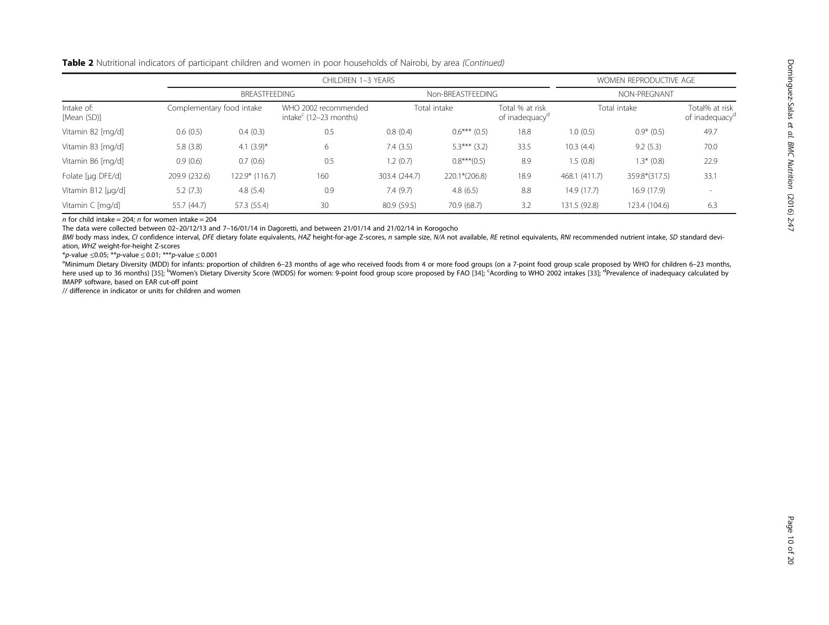|  | Table 2 Nutritional indicators of participant children and women in poor households of Nairobi, by area (Continued) |  |  |  |  |  |  |  |  |
|--|---------------------------------------------------------------------------------------------------------------------|--|--|--|--|--|--|--|--|
|--|---------------------------------------------------------------------------------------------------------------------|--|--|--|--|--|--|--|--|

|                           |                           | CHILDREN 1-3 YEARS |                                                            |               |                   |                                               |               |               | WOMEN REPRODUCTIVE AGE                       |  |  |
|---------------------------|---------------------------|--------------------|------------------------------------------------------------|---------------|-------------------|-----------------------------------------------|---------------|---------------|----------------------------------------------|--|--|
|                           |                           | BREASTFEEDING      |                                                            |               | Non-BREASTFEEDING |                                               |               | NON-PREGNANT  |                                              |  |  |
| Intake of:<br>[Mean (SD)] | Complementary food intake |                    | WHO 2002 recommended<br>intake <sup>c</sup> (12–23 months) | Total intake  |                   | Total % at risk<br>of inadequacy <sup>a</sup> | Total intake  |               | Total% at risk<br>of inadequacy <sup>a</sup> |  |  |
| Vitamin B2 [mg/d]         | 0.6(0.5)                  | 0.4(0.3)           | 0.5                                                        | 0.8(0.4)      | $0.6***(0.5)$     | 18.8                                          | 1.0(0.5)      | $0.9*$ (0.5)  | 49.7                                         |  |  |
| Vitamin B3 [mg/d]         | 5.8(3.8)                  | 4.1 $(3.9)^*$      | 6                                                          | 7.4(3.5)      | $5.3***$ (3.2)    | 33.5                                          | 10.3(4.4)     | 9.2(5.3)      | 70.0                                         |  |  |
| Vitamin B6 [mg/d]         | 0.9(0.6)                  | 0.7(0.6)           | 0.5                                                        | 1.2(0.7)      | $0.8***(0.5)$     | 8.9                                           | 1.5(0.8)      | $1.3*$ (0.8)  | 22.9                                         |  |  |
| Folate [µg DFE/d]         | 209.9 (232.6)             | $122.9*$ (116.7)   | 160                                                        | 303.4 (244.7) | 220.1*(206.8)     | 18.9                                          | 468.1 (411.7) | 359.8*(317.5) | 33.1                                         |  |  |
| Vitamin B12 [µg/d]        | 5.2(7.3)                  | 4.8 $(5.4)$        | 0.9                                                        | 7.4(9.7)      | 4.8(6.5)          | 8.8                                           | 14.9 (17.7)   | 16.9 (17.9)   |                                              |  |  |
| Vitamin C [mg/d]          | 55.7 (44.7)               | 57.3 (55.4)        | 30                                                         | 80.9 (59.5)   | 70.9 (68.7)       | 3.2                                           | 131.5 (92.8)  | 123.4 (104.6) | 6.3                                          |  |  |

n for child intake = 204; n for women intake = 204

The data were collected between 02–20/12/13 and 7–16/01/14 in Dagoretti, and between 21/01/14 and 21/02/14 in Korogocho

BMI body mass index, CI confidence interval, DFE dietary folate equivalents, HAZ height-for-age Z-scores, n sample size, N/A not available, RE retinol equivalents, RNI recommended nutrient intake, SD standard deviation, WHZ weight-for-height Z-scores

\*p-value ≤0.05; \*\*p-value ≤ 0.01; \*\*\*p-value ≤ 0.001

<sup>a</sup>Minimum Dietary Diversity (MDD) for infants: proportion of children 6–23 months of age who received foods from 4 or more food groups (on a 7-point food group scale proposed by WHO for children 6–23 months, here used up to 36 months) [[35\]](#page-18-0); <sup>b</sup>Women's Dietary Diversity Score (WDDS) for women: 9-point food group score proposed by FAO [\[34](#page-18-0)]; <sup>S</sup>Acording to WHO 2002 intakes [[33\]](#page-18-0); <sup>d</sup>Prevalence of inadequacy calculated by IMAPP software, based on EAR cut-off point

// difference in indicator or units for children and women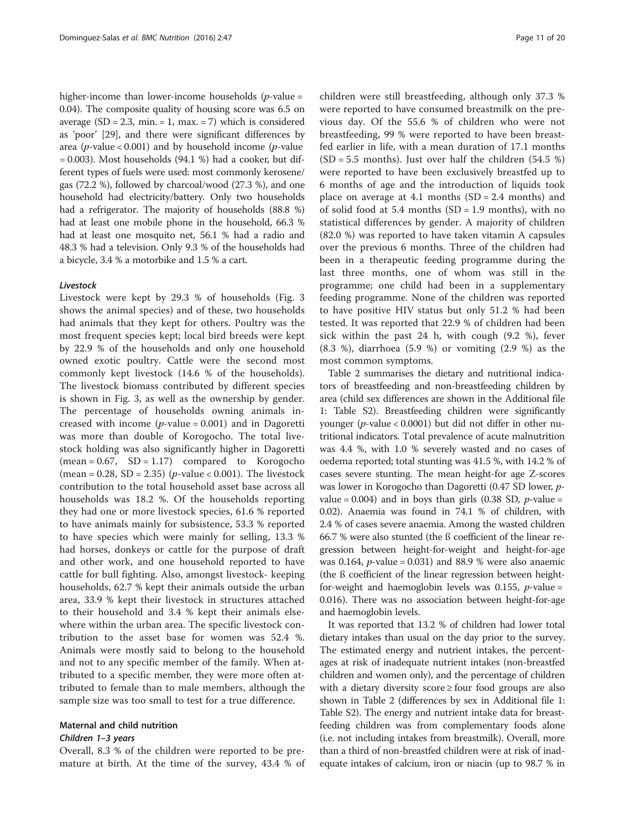higher-income than lower-income households  $(p$ -value = 0.04). The composite quality of housing score was 6.5 on average  $(SD = 2.3, \text{ min.} = 1, \text{ max.} = 7)$  which is considered as 'poor' [\[29\]](#page-18-0), and there were significant differences by area ( $p$ -value < 0.001) and by household income ( $p$ -value  $= 0.003$ ). Most households (94.1 %) had a cooker, but different types of fuels were used: most commonly kerosene/ gas (72.2 %), followed by charcoal/wood (27.3 %), and one household had electricity/battery. Only two households had a refrigerator. The majority of households (88.8 %) had at least one mobile phone in the household, 66.3 % had at least one mosquito net, 56.1 % had a radio and 48.3 % had a television. Only 9.3 % of the households had a bicycle, 3.4 % a motorbike and 1.5 % a cart.

### **Livestock**

Livestock were kept by 29.3 % of households (Fig. [3](#page-5-0) shows the animal species) and of these, two households had animals that they kept for others. Poultry was the most frequent species kept; local bird breeds were kept by 22.9 % of the households and only one household owned exotic poultry. Cattle were the second most commonly kept livestock (14.6 % of the households). The livestock biomass contributed by different species is shown in Fig. [3,](#page-5-0) as well as the ownership by gender. The percentage of households owning animals increased with income  $(p$ -value = 0.001) and in Dagoretti was more than double of Korogocho. The total livestock holding was also significantly higher in Dagoretti  $(mean = 0.67, SD = 1.17)$  compared to Korogocho (mean = 0.28, SD = 2.35) (*p*-value < 0.001). The livestock contribution to the total household asset base across all households was 18.2 %. Of the households reporting they had one or more livestock species, 61.6 % reported to have animals mainly for subsistence, 53.3 % reported to have species which were mainly for selling, 13.3 % had horses, donkeys or cattle for the purpose of draft and other work, and one household reported to have cattle for bull fighting. Also, amongst livestock- keeping households, 62.7 % kept their animals outside the urban area, 33.9 % kept their livestock in structures attached to their household and 3.4 % kept their animals elsewhere within the urban area. The specific livestock contribution to the asset base for women was 52.4 %. Animals were mostly said to belong to the household and not to any specific member of the family. When attributed to a specific member, they were more often attributed to female than to male members, although the sample size was too small to test for a true difference.

### Maternal and child nutrition

# Children 1–3 years

Overall, 8.3 % of the children were reported to be premature at birth. At the time of the survey, 43.4 % of children were still breastfeeding, although only 37.3 % were reported to have consumed breastmilk on the previous day. Of the 55.6 % of children who were not breastfeeding, 99 % were reported to have been breastfed earlier in life, with a mean duration of 17.1 months  $(SD = 5.5$  months). Just over half the children  $(54.5 %)$ were reported to have been exclusively breastfed up to 6 months of age and the introduction of liquids took place on average at 4.1 months  $(SD = 2.4$  months) and of solid food at 5.4 months  $(SD = 1.9$  months), with no statistical differences by gender. A majority of children (82.0 %) was reported to have taken vitamin A capsules over the previous 6 months. Three of the children had been in a therapeutic feeding programme during the last three months, one of whom was still in the programme; one child had been in a supplementary feeding programme. None of the children was reported to have positive HIV status but only 51.2 % had been tested. It was reported that 22.9 % of children had been sick within the past 24 h, with cough (9.2 %), fever (8.3 %), diarrhoea (5.9 %) or vomiting (2.9 %) as the most common symptoms.

Table [2](#page-8-0) summarises the dietary and nutritional indicators of breastfeeding and non-breastfeeding children by area (child sex differences are shown in the Additional file [1:](#page-17-0) Table S2). Breastfeeding children were significantly younger ( $p$ -value < 0.0001) but did not differ in other nutritional indicators. Total prevalence of acute malnutrition was 4.4 %, with 1.0 % severely wasted and no cases of oedema reported; total stunting was 41.5 %, with 14.2 % of cases severe stunting. The mean height-for age Z-scores was lower in Korogocho than Dagoretti (0.47 SD lower, pvalue = 0.004) and in boys than girls (0.38 SD,  $p$ -value = 0.02). Anaemia was found in 74.1 % of children, with 2.4 % of cases severe anaemia. Among the wasted children 66.7 % were also stunted (the ß coefficient of the linear regression between height-for-weight and height-for-age was 0.164,  $p$ -value = 0.031) and 88.9 % were also anaemic (the ß coefficient of the linear regression between heightfor-weight and haemoglobin levels was 0.155, *p*-value = 0.016). There was no association between height-for-age and haemoglobin levels.

It was reported that 13.2 % of children had lower total dietary intakes than usual on the day prior to the survey. The estimated energy and nutrient intakes, the percentages at risk of inadequate nutrient intakes (non-breastfed children and women only), and the percentage of children with a dietary diversity score  $\geq$  four food groups are also shown in Table [2](#page-8-0) (differences by sex in Additional file [1](#page-17-0): Table S2). The energy and nutrient intake data for breastfeeding children was from complementary foods alone (i.e. not including intakes from breastmilk). Overall, more than a third of non-breastfed children were at risk of inadequate intakes of calcium, iron or niacin (up to 98.7 % in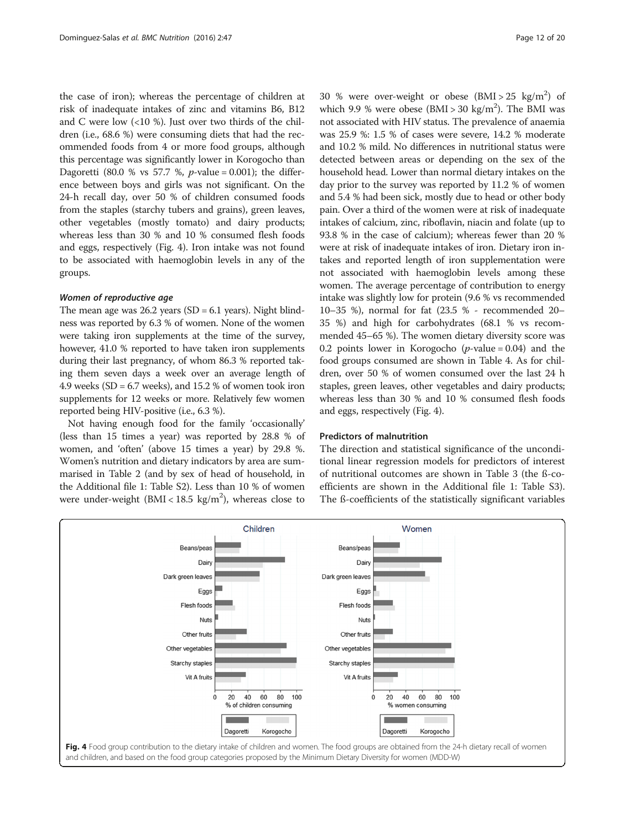the case of iron); whereas the percentage of children at risk of inadequate intakes of zinc and vitamins B6, B12 and C were low  $\left($ <10 %). Just over two thirds of the children (i.e., 68.6 %) were consuming diets that had the recommended foods from 4 or more food groups, although this percentage was significantly lower in Korogocho than Dagoretti (80.0 % vs 57.7 %,  $p$ -value = 0.001); the difference between boys and girls was not significant. On the 24-h recall day, over 50 % of children consumed foods from the staples (starchy tubers and grains), green leaves, other vegetables (mostly tomato) and dairy products; whereas less than 30 % and 10 % consumed flesh foods and eggs, respectively (Fig. 4). Iron intake was not found to be associated with haemoglobin levels in any of the groups.

### Women of reproductive age

The mean age was  $26.2$  years (SD = 6.1 years). Night blindness was reported by 6.3 % of women. None of the women were taking iron supplements at the time of the survey, however, 41.0 % reported to have taken iron supplements during their last pregnancy, of whom 86.3 % reported taking them seven days a week over an average length of 4.9 weeks ( $SD = 6.7$  weeks), and 15.2 % of women took iron supplements for 12 weeks or more. Relatively few women reported being HIV-positive (i.e., 6.3 %).

Not having enough food for the family 'occasionally' (less than 15 times a year) was reported by 28.8 % of women, and 'often' (above 15 times a year) by 29.8 %. Women's nutrition and dietary indicators by area are summarised in Table [2](#page-8-0) (and by sex of head of household, in the Additional file [1:](#page-17-0) Table S2). Less than 10 % of women were under-weight (BMI <  $18.5 \text{ kg/m}^2$ ), whereas close to

30 % were over-weight or obese  $(BMI > 25 kg/m<sup>2</sup>)$  of which 9.9 % were obese  $(BMI > 30 \text{ kg/m}^2)$ . The BMI was not associated with HIV status. The prevalence of anaemia was 25.9 %: 1.5 % of cases were severe, 14.2 % moderate and 10.2 % mild. No differences in nutritional status were detected between areas or depending on the sex of the household head. Lower than normal dietary intakes on the day prior to the survey was reported by 11.2 % of women and 5.4 % had been sick, mostly due to head or other body pain. Over a third of the women were at risk of inadequate intakes of calcium, zinc, riboflavin, niacin and folate (up to 93.8 % in the case of calcium); whereas fewer than 20 % were at risk of inadequate intakes of iron. Dietary iron intakes and reported length of iron supplementation were not associated with haemoglobin levels among these women. The average percentage of contribution to energy intake was slightly low for protein (9.6 % vs recommended 10–35 %), normal for fat (23.5 % - recommended 20– 35 %) and high for carbohydrates (68.1 % vs recommended 45–65 %). The women dietary diversity score was 0.2 points lower in Korogocho  $(p$ -value = 0.04) and the food groups consumed are shown in Table [4.](#page-13-0) As for children, over 50 % of women consumed over the last 24 h staples, green leaves, other vegetables and dairy products; whereas less than 30 % and 10 % consumed flesh foods and eggs, respectively (Fig. 4).

#### Predictors of malnutrition

The direction and statistical significance of the unconditional linear regression models for predictors of interest of nutritional outcomes are shown in Table [3](#page-12-0) (the ß-coefficients are shown in the Additional file [1:](#page-17-0) Table S3). The ß-coefficients of the statistically significant variables

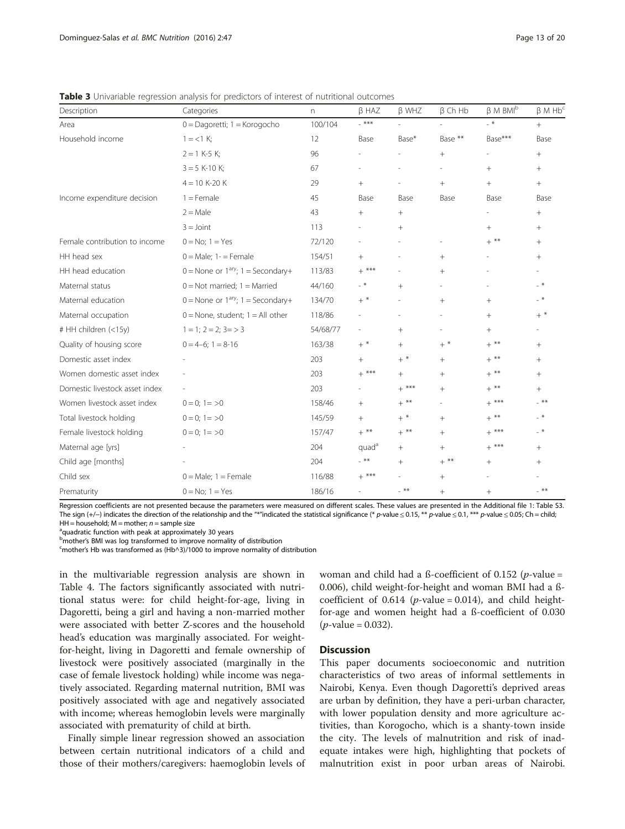| Description                    | Categories                            | n        | $\beta$ HAZ       | $\beta$ WHZ              | $\beta$ Ch Hb   | $\beta$ M BMI <sup>b</sup> | $\beta$ M $Hb^c$ |
|--------------------------------|---------------------------------------|----------|-------------------|--------------------------|-----------------|----------------------------|------------------|
| Area                           | $0 =$ Dagoretti; 1 = Korogocho        | 100/104  | $***$             |                          |                 | $-$ *                      | $^{+}$           |
| Household income               | $1 = 1$ K;                            | 12       | Base              | Base*                    | Base **         | Base***                    | Base             |
|                                | $2 = 1$ K-5 K;                        | 96       |                   |                          | $+$             |                            | $^{+}$           |
|                                | $3 = 5$ K-10 K;                       | 67       |                   |                          |                 | $^{+}$                     | $+$              |
|                                | $4 = 10$ K-20 K                       | 29       | $^{+}$            |                          | $+$             | $^{+}$                     | $+$              |
| Income expenditure decision    | $1 =$ Female                          | 45       | Base              | Base                     | Base            | Base                       | Base             |
|                                | $2 = Male$                            | 43       | $+$               | $+$                      |                 |                            | $+$              |
|                                | $3 =$ Joint                           | 113      |                   | $^{+}$                   |                 | $+$                        | $+$              |
| Female contribution to income  | $0 = No$ ; $1 = Yes$                  | 72/120   | $\overline{a}$    | $\overline{\phantom{a}}$ |                 | $+$ **                     | $+$              |
| HH head sex                    | $0 = Male$ ; 1 - = Female             | 154/51   | $\! + \!\!\!\!$   | $\overline{a}$           | $+$             |                            | $^{+}$           |
| HH head education              | $0 =$ None or $1ary$ ; 1 = Secondary+ | 113/83   | $+$ ***           | $\overline{\phantom{a}}$ | $+$             |                            |                  |
| Maternal status                | $0 = Not married; 1 = Married$        | 44/160   | $-$ *             | $^{+}$                   |                 |                            | $+$              |
| Maternal education             | $0 =$ None or $1ary$ ; 1 = Secondary+ | 134/70   | $+$ *             | ÷,                       | $+$             | $+$                        | $-$ *            |
| Maternal occupation            | $0 =$ None, student; $1 =$ All other  | 118/86   | $\overline{a}$    | ÷,                       | $\overline{a}$  | $^{+}$                     | $+$ *            |
| # HH children (<15y)           | $1 = 1$ ; $2 = 2$ ; $3 = 3$           | 54/68/77 | $\overline{a}$    | $\! + \!\!\!\!$          |                 | $+$                        |                  |
| Quality of housing score       | $0 = 4-6$ ; $1 = 8-16$                | 163/38   | $+$ $^{\ast}$     | $^{+}$                   | $+$ *           | $+$ $^{\ast\ast}$          | $^{+}$           |
| Domestic asset index           |                                       | 203      | $^{+}$            | $+$ $^{\ast}$            | $+$             | $+$ $^{\ast\ast}$          | $+$              |
| Women domestic asset index     |                                       | 203      | $+$ ***           | $^{+}$                   | $\! + \!\!\!\!$ | $+$ **                     | $^{+}$           |
| Domestic livestock asset index |                                       | 203      |                   | $+$ ***                  | $+$             | $+$ $^{\ast\ast}$          | $^{+}$           |
| Women livestock asset index    | $0 = 0; 1 = 0$                        | 158/46   | $^+$              | $+$ **                   |                 | $+$ ***                    | $-$ **           |
| Total livestock holding        | $0 = 0$ ; $1 = > 0$                   | 145/59   | $^{+}$            | $+$ $^{\ast}$            | $+$             | $+$ $^{\ast\ast}$          | $-$ *            |
| Female livestock holding       | $0 = 0$ ; $1 = > 0$                   | 157/47   | $+$ **            | $+$ **                   | $+$             | $+$ ***                    | $-$ *            |
| Maternal age [yrs]             |                                       | 204      | quad <sup>a</sup> | $^{+}$                   | $+$             | $+$ ***                    | $^{+}$           |
| Child age [months]             |                                       | 204      | $-$ **            | $+$                      | $+$ **          | $^{+}$                     | $^{+}$           |
| Child sex                      | $0 = Male$ ; $1 = Female$             | 116/88   | $+$ ***           | Ĭ.                       | $\! + \!\!\!\!$ |                            |                  |
| Prematurity                    | $0 = No; 1 = Yes$                     | 186/16   |                   | $-$ **                   | $+$             | $^{+}$                     | $**$             |

<span id="page-12-0"></span>Table 3 Univariable regression analysis for predictors of interest of nutritional outcomes

Regression coefficients are not presented because the parameters were measured on different scales. These values are presented in the Additional file [1:](#page-17-0) Table S3. The sign (+/-) indicates the direction of the relationship and the "\*"indicated the statistical significance (\* p-value ≤ 0.15, \*\* p-value ≤ 0.1, \*\*\* p-value ≤ 0.05; Ch = child; HH = household;  $M$  = mother;  $n$  = sample size

<sup>a</sup>quadratic function with peak at approximately 30 years

b<br>
b mother's BMI was log transformed to improve normality of distribution<br>
Smother's Hb was transformed as (Hb^3)/1000 to improve normality of mother's Hb was transformed as (Hb^3)/1000 to improve normality of distribution

in the multivariable regression analysis are shown in Table [4.](#page-13-0) The factors significantly associated with nutritional status were: for child height-for-age, living in Dagoretti, being a girl and having a non-married mother were associated with better Z-scores and the household head's education was marginally associated. For weightfor-height, living in Dagoretti and female ownership of livestock were positively associated (marginally in the case of female livestock holding) while income was negatively associated. Regarding maternal nutrition, BMI was positively associated with age and negatively associated with income; whereas hemoglobin levels were marginally associated with prematurity of child at birth.

Finally simple linear regression showed an association between certain nutritional indicators of a child and those of their mothers/caregivers: haemoglobin levels of

woman and child had a  $\beta$ -coefficient of 0.152 (*p*-value = 0.006), child weight-for-height and woman BMI had a ßcoefficient of  $0.614$  (*p*-value = 0.014), and child heightfor-age and women height had a ß-coefficient of 0.030  $(p$ -value = 0.032).

### **Discussion**

This paper documents socioeconomic and nutrition characteristics of two areas of informal settlements in Nairobi, Kenya. Even though Dagoretti's deprived areas are urban by definition, they have a peri-urban character, with lower population density and more agriculture activities, than Korogocho, which is a shanty-town inside the city. The levels of malnutrition and risk of inadequate intakes were high, highlighting that pockets of malnutrition exist in poor urban areas of Nairobi.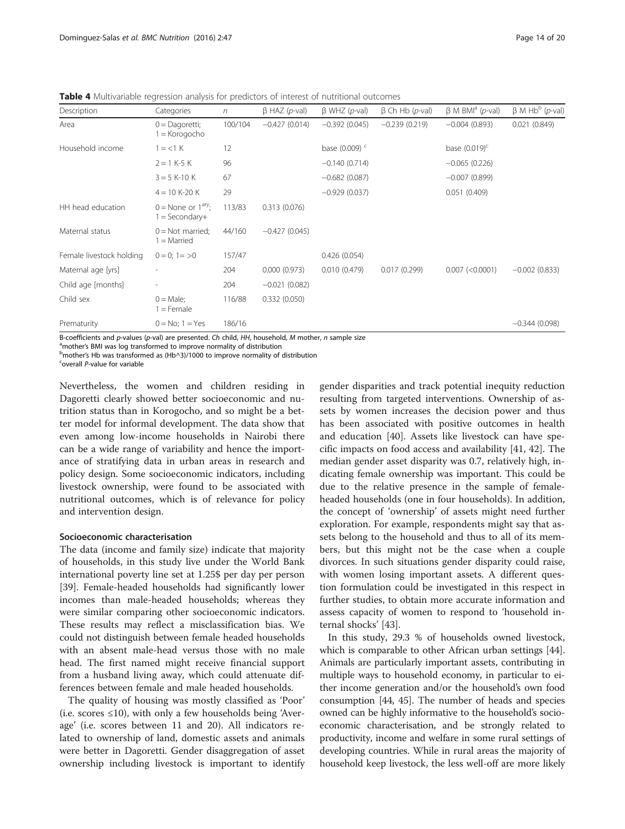<span id="page-13-0"></span>Table 4 Multivariable regression analysis for predictors of interest of nutritional outcomes

| Description              | Categories                                    | $\sqrt{n}$ | $\beta$ HAZ ( <i>p</i> -val) | $\beta$ WHZ (p-val)       | $\beta$ Ch Hb ( <i>p</i> -val) | $\beta$ M BMI <sup>a</sup> ( <i>p</i> -val) | $\beta$ M Hb <sup>b</sup> ( <i>p</i> -val) |
|--------------------------|-----------------------------------------------|------------|------------------------------|---------------------------|--------------------------------|---------------------------------------------|--------------------------------------------|
| Area                     | $0 =$ Dagoretti;<br>1 = Korogocho             | 100/104    | $-0.427(0.014)$              | $-0.392(0.045)$           | $-0.239(0.219)$                | $-0.004(0.893)$                             | 0.021(0.849)                               |
| Household income         | $1 = < 1$ K                                   | 12         |                              | base (0.009) <sup>c</sup> |                                | base $(0.019)^c$                            |                                            |
|                          | $2 = 1$ K-5 K                                 | 96         |                              | $-0.140(0.714)$           |                                | $-0.065(0.226)$                             |                                            |
|                          | $3 = 5$ K-10 K                                | 67         |                              | $-0.682(0.087)$           |                                | $-0.007(0.899)$                             |                                            |
|                          | $4 = 10$ K-20 K                               | 29         |                              | $-0.929(0.037)$           |                                | 0.051(0.409)                                |                                            |
| HH head education        | $0 =$ None or $1ary$ :<br>$1 =$ Secondary $+$ | 113/83     | 0.313(0.076)                 |                           |                                |                                             |                                            |
| Maternal status          | $0 = Not married;$<br>$1 =$ Married           | 44/160     | $-0.427(0.045)$              |                           |                                |                                             |                                            |
| Female livestock holding | $0 = 0$ ; 1 = > 0                             | 157/47     |                              | 0.426(0.054)              |                                |                                             |                                            |
| Maternal age [yrs]       |                                               | 204        | 0.000(0.973)                 | 0.010(0.479)              | 0.017(0.299)                   | $0.007$ (< $0.0001$ )                       | $-0.002(0.833)$                            |
| Child age [months]       | $\overline{\phantom{0}}$                      | 204        | $-0.021(0.082)$              |                           |                                |                                             |                                            |
| Child sex                | $0 = Male$ ;<br>$1 =$ Female                  | 116/88     | 0.332(0.050)                 |                           |                                |                                             |                                            |
| Prematurity              | $0 = No; 1 = Yes$                             | 186/16     |                              |                           |                                |                                             | $-0.344(0.098)$                            |

B-coefficients and p-values (p-val) are presented. Ch child, HH, household, M mother, n sample size

<sup>a</sup>mother's BMI was log transformed to improve normality of distribution

 $<sup>b</sup>$  mother's Hb was transformed as (Hb^3)/1000 to improve normality of distribution</sup>

overall P-value for variable

Nevertheless, the women and children residing in Dagoretti clearly showed better socioeconomic and nutrition status than in Korogocho, and so might be a better model for informal development. The data show that even among low-income households in Nairobi there can be a wide range of variability and hence the importance of stratifying data in urban areas in research and policy design. Some socioeconomic indicators, including livestock ownership, were found to be associated with nutritional outcomes, which is of relevance for policy and intervention design.

### Socioeconomic characterisation

The data (income and family size) indicate that majority of households, in this study live under the World Bank international poverty line set at 1.25\$ per day per person [[39\]](#page-18-0). Female-headed households had significantly lower incomes than male-headed households; whereas they were similar comparing other socioeconomic indicators. These results may reflect a misclassification bias. We could not distinguish between female headed households with an absent male-head versus those with no male head. The first named might receive financial support from a husband living away, which could attenuate differences between female and male headed households.

The quality of housing was mostly classified as 'Poor' (i.e. scores  $\leq 10$ ), with only a few households being 'Average' (i.e. scores between 11 and 20). All indicators related to ownership of land, domestic assets and animals were better in Dagoretti. Gender disaggregation of asset ownership including livestock is important to identify

gender disparities and track potential inequity reduction resulting from targeted interventions. Ownership of assets by women increases the decision power and thus has been associated with positive outcomes in health and education [[40](#page-18-0)]. Assets like livestock can have specific impacts on food access and availability [\[41](#page-18-0), [42](#page-18-0)]. The median gender asset disparity was 0.7, relatively high, indicating female ownership was important. This could be due to the relative presence in the sample of femaleheaded households (one in four households). In addition, the concept of 'ownership' of assets might need further exploration. For example, respondents might say that assets belong to the household and thus to all of its members, but this might not be the case when a couple divorces. In such situations gender disparity could raise, with women losing important assets. A different question formulation could be investigated in this respect in further studies, to obtain more accurate information and assess capacity of women to respond to 'household internal shocks' [[43\]](#page-18-0).

In this study, 29.3 % of households owned livestock, which is comparable to other African urban settings [[44](#page-18-0)]. Animals are particularly important assets, contributing in multiple ways to household economy, in particular to either income generation and/or the household's own food consumption [\[44, 45](#page-18-0)]. The number of heads and species owned can be highly informative to the household's socioeconomic characterisation, and be strongly related to productivity, income and welfare in some rural settings of developing countries. While in rural areas the majority of household keep livestock, the less well-off are more likely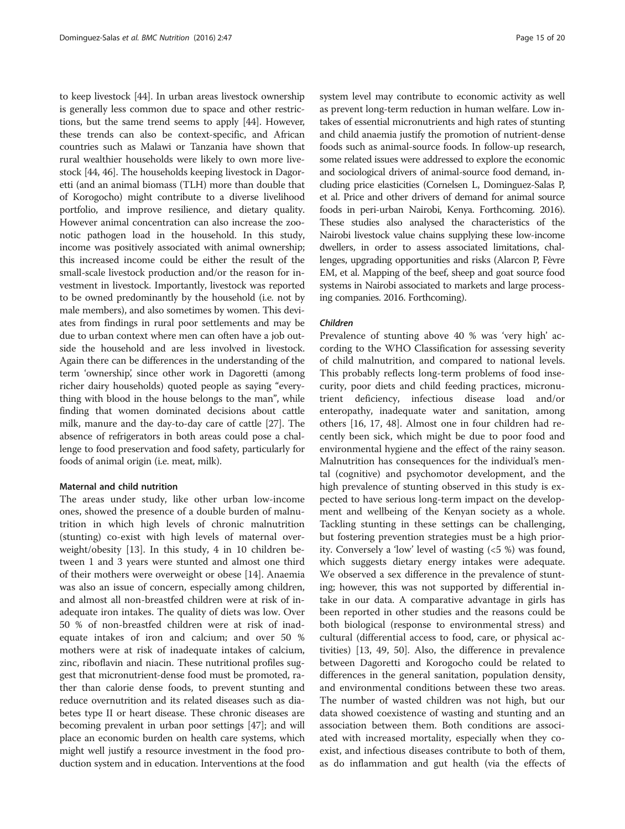to keep livestock [[44](#page-18-0)]. In urban areas livestock ownership is generally less common due to space and other restrictions, but the same trend seems to apply [\[44](#page-18-0)]. However, these trends can also be context-specific, and African countries such as Malawi or Tanzania have shown that rural wealthier households were likely to own more livestock [\[44, 46](#page-18-0)]. The households keeping livestock in Dagoretti (and an animal biomass (TLH) more than double that of Korogocho) might contribute to a diverse livelihood portfolio, and improve resilience, and dietary quality. However animal concentration can also increase the zoonotic pathogen load in the household. In this study, income was positively associated with animal ownership; this increased income could be either the result of the small-scale livestock production and/or the reason for investment in livestock. Importantly, livestock was reported to be owned predominantly by the household (i.e. not by male members), and also sometimes by women. This deviates from findings in rural poor settlements and may be due to urban context where men can often have a job outside the household and are less involved in livestock. Again there can be differences in the understanding of the term 'ownership', since other work in Dagoretti (among richer dairy households) quoted people as saying "everything with blood in the house belongs to the man", while finding that women dominated decisions about cattle milk, manure and the day-to-day care of cattle [\[27\]](#page-18-0). The absence of refrigerators in both areas could pose a challenge to food preservation and food safety, particularly for foods of animal origin (i.e. meat, milk).

### Maternal and child nutrition

The areas under study, like other urban low-income ones, showed the presence of a double burden of malnutrition in which high levels of chronic malnutrition (stunting) co-exist with high levels of maternal overweight/obesity [\[13](#page-18-0)]. In this study, 4 in 10 children between 1 and 3 years were stunted and almost one third of their mothers were overweight or obese [\[14](#page-18-0)]. Anaemia was also an issue of concern, especially among children, and almost all non-breastfed children were at risk of inadequate iron intakes. The quality of diets was low. Over 50 % of non-breastfed children were at risk of inadequate intakes of iron and calcium; and over 50 % mothers were at risk of inadequate intakes of calcium, zinc, riboflavin and niacin. These nutritional profiles suggest that micronutrient-dense food must be promoted, rather than calorie dense foods, to prevent stunting and reduce overnutrition and its related diseases such as diabetes type II or heart disease. These chronic diseases are becoming prevalent in urban poor settings [\[47\]](#page-18-0); and will place an economic burden on health care systems, which might well justify a resource investment in the food production system and in education. Interventions at the food system level may contribute to economic activity as well as prevent long-term reduction in human welfare. Low intakes of essential micronutrients and high rates of stunting and child anaemia justify the promotion of nutrient-dense foods such as animal-source foods. In follow-up research, some related issues were addressed to explore the economic and sociological drivers of animal-source food demand, including price elasticities (Cornelsen L, Dominguez-Salas P, et al. Price and other drivers of demand for animal source foods in peri-urban Nairobi, Kenya. Forthcoming. 2016). These studies also analysed the characteristics of the Nairobi livestock value chains supplying these low-income dwellers, in order to assess associated limitations, challenges, upgrading opportunities and risks (Alarcon P, Fèvre EM, et al. Mapping of the beef, sheep and goat source food systems in Nairobi associated to markets and large processing companies. 2016. Forthcoming).

### Children

Prevalence of stunting above 40 % was 'very high' according to the WHO Classification for assessing severity of child malnutrition, and compared to national levels. This probably reflects long-term problems of food insecurity, poor diets and child feeding practices, micronutrient deficiency, infectious disease load and/or enteropathy, inadequate water and sanitation, among others [[16, 17](#page-18-0), [48](#page-18-0)]. Almost one in four children had recently been sick, which might be due to poor food and environmental hygiene and the effect of the rainy season. Malnutrition has consequences for the individual's mental (cognitive) and psychomotor development, and the high prevalence of stunting observed in this study is expected to have serious long-term impact on the development and wellbeing of the Kenyan society as a whole. Tackling stunting in these settings can be challenging, but fostering prevention strategies must be a high priority. Conversely a 'low' level of wasting (<5 %) was found, which suggests dietary energy intakes were adequate. We observed a sex difference in the prevalence of stunting; however, this was not supported by differential intake in our data. A comparative advantage in girls has been reported in other studies and the reasons could be both biological (response to environmental stress) and cultural (differential access to food, care, or physical activities) [\[13](#page-18-0), [49, 50](#page-18-0)]. Also, the difference in prevalence between Dagoretti and Korogocho could be related to differences in the general sanitation, population density, and environmental conditions between these two areas. The number of wasted children was not high, but our data showed coexistence of wasting and stunting and an association between them. Both conditions are associated with increased mortality, especially when they coexist, and infectious diseases contribute to both of them, as do inflammation and gut health (via the effects of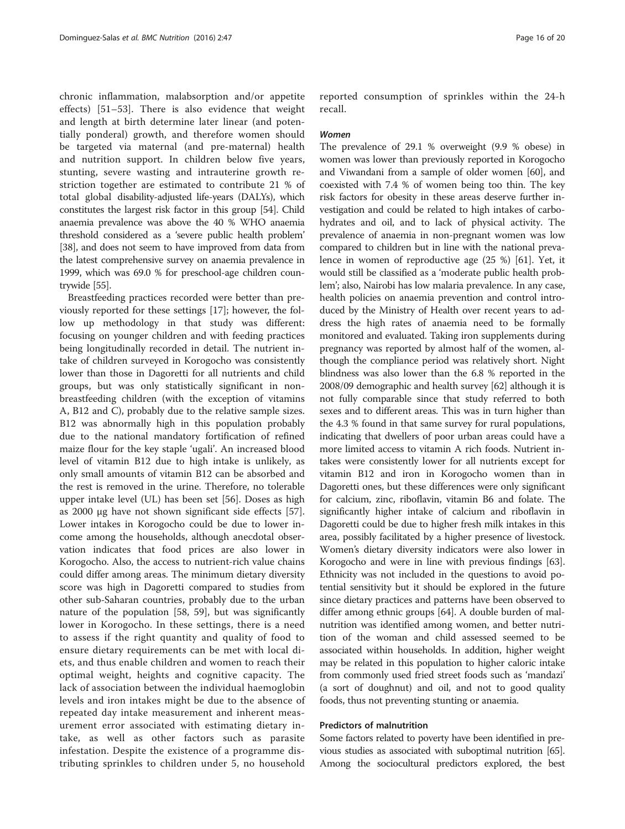chronic inflammation, malabsorption and/or appetite effects) [[51](#page-18-0)–[53\]](#page-18-0). There is also evidence that weight and length at birth determine later linear (and potentially ponderal) growth, and therefore women should be targeted via maternal (and pre-maternal) health and nutrition support. In children below five years, stunting, severe wasting and intrauterine growth restriction together are estimated to contribute 21 % of total global disability-adjusted life-years (DALYs), which constitutes the largest risk factor in this group [[54](#page-18-0)]. Child anaemia prevalence was above the 40 % WHO anaemia threshold considered as a 'severe public health problem' [[38](#page-18-0)], and does not seem to have improved from data from the latest comprehensive survey on anaemia prevalence in 1999, which was 69.0 % for preschool-age children countrywide [[55\]](#page-18-0).

Breastfeeding practices recorded were better than previously reported for these settings [[17\]](#page-18-0); however, the follow up methodology in that study was different: focusing on younger children and with feeding practices being longitudinally recorded in detail. The nutrient intake of children surveyed in Korogocho was consistently lower than those in Dagoretti for all nutrients and child groups, but was only statistically significant in nonbreastfeeding children (with the exception of vitamins A, B12 and C), probably due to the relative sample sizes. B12 was abnormally high in this population probably due to the national mandatory fortification of refined maize flour for the key staple 'ugali'. An increased blood level of vitamin B12 due to high intake is unlikely, as only small amounts of vitamin B12 can be absorbed and the rest is removed in the urine. Therefore, no tolerable upper intake level (UL) has been set [[56](#page-18-0)]. Doses as high as 2000 μg have not shown significant side effects [\[57](#page-18-0)]. Lower intakes in Korogocho could be due to lower income among the households, although anecdotal observation indicates that food prices are also lower in Korogocho. Also, the access to nutrient-rich value chains could differ among areas. The minimum dietary diversity score was high in Dagoretti compared to studies from other sub-Saharan countries, probably due to the urban nature of the population [[58](#page-18-0), [59\]](#page-19-0), but was significantly lower in Korogocho. In these settings, there is a need to assess if the right quantity and quality of food to ensure dietary requirements can be met with local diets, and thus enable children and women to reach their optimal weight, heights and cognitive capacity. The lack of association between the individual haemoglobin levels and iron intakes might be due to the absence of repeated day intake measurement and inherent measurement error associated with estimating dietary intake, as well as other factors such as parasite infestation. Despite the existence of a programme distributing sprinkles to children under 5, no household

reported consumption of sprinkles within the 24-h recall.

#### **Women**

The prevalence of 29.1 % overweight (9.9 % obese) in women was lower than previously reported in Korogocho and Viwandani from a sample of older women [\[60\]](#page-19-0), and coexisted with 7.4 % of women being too thin. The key risk factors for obesity in these areas deserve further investigation and could be related to high intakes of carbohydrates and oil, and to lack of physical activity. The prevalence of anaemia in non-pregnant women was low compared to children but in line with the national prevalence in women of reproductive age (25 %) [\[61\]](#page-19-0). Yet, it would still be classified as a 'moderate public health problem'; also, Nairobi has low malaria prevalence. In any case, health policies on anaemia prevention and control introduced by the Ministry of Health over recent years to address the high rates of anaemia need to be formally monitored and evaluated. Taking iron supplements during pregnancy was reported by almost half of the women, although the compliance period was relatively short. Night blindness was also lower than the 6.8 % reported in the 2008/09 demographic and health survey [[62\]](#page-19-0) although it is not fully comparable since that study referred to both sexes and to different areas. This was in turn higher than the 4.3 % found in that same survey for rural populations, indicating that dwellers of poor urban areas could have a more limited access to vitamin A rich foods. Nutrient intakes were consistently lower for all nutrients except for vitamin B12 and iron in Korogocho women than in Dagoretti ones, but these differences were only significant for calcium, zinc, riboflavin, vitamin B6 and folate. The significantly higher intake of calcium and riboflavin in Dagoretti could be due to higher fresh milk intakes in this area, possibly facilitated by a higher presence of livestock. Women's dietary diversity indicators were also lower in Korogocho and were in line with previous findings [[63](#page-19-0)]. Ethnicity was not included in the questions to avoid potential sensitivity but it should be explored in the future since dietary practices and patterns have been observed to differ among ethnic groups [\[64\]](#page-19-0). A double burden of malnutrition was identified among women, and better nutrition of the woman and child assessed seemed to be associated within households. In addition, higher weight may be related in this population to higher caloric intake from commonly used fried street foods such as 'mandazi' (a sort of doughnut) and oil, and not to good quality foods, thus not preventing stunting or anaemia.

### Predictors of malnutrition

Some factors related to poverty have been identified in previous studies as associated with suboptimal nutrition [\[65](#page-19-0)]. Among the sociocultural predictors explored, the best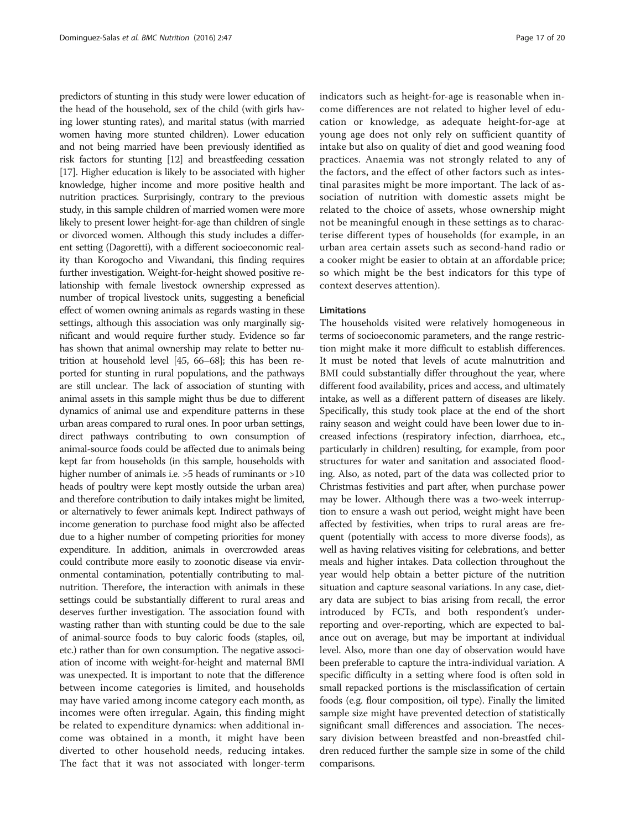predictors of stunting in this study were lower education of the head of the household, sex of the child (with girls having lower stunting rates), and marital status (with married women having more stunted children). Lower education and not being married have been previously identified as risk factors for stunting [\[12\]](#page-18-0) and breastfeeding cessation [[17](#page-18-0)]. Higher education is likely to be associated with higher knowledge, higher income and more positive health and nutrition practices. Surprisingly, contrary to the previous study, in this sample children of married women were more likely to present lower height-for-age than children of single or divorced women. Although this study includes a different setting (Dagoretti), with a different socioeconomic reality than Korogocho and Viwandani, this finding requires further investigation. Weight-for-height showed positive relationship with female livestock ownership expressed as number of tropical livestock units, suggesting a beneficial effect of women owning animals as regards wasting in these settings, although this association was only marginally significant and would require further study. Evidence so far has shown that animal ownership may relate to better nutrition at household level [\[45,](#page-18-0) [66](#page-19-0)–[68](#page-19-0)]; this has been reported for stunting in rural populations, and the pathways are still unclear. The lack of association of stunting with animal assets in this sample might thus be due to different dynamics of animal use and expenditure patterns in these urban areas compared to rural ones. In poor urban settings, direct pathways contributing to own consumption of animal-source foods could be affected due to animals being kept far from households (in this sample, households with higher number of animals i.e. > 5 heads of ruminants or > 10 heads of poultry were kept mostly outside the urban area) and therefore contribution to daily intakes might be limited, or alternatively to fewer animals kept. Indirect pathways of income generation to purchase food might also be affected due to a higher number of competing priorities for money expenditure. In addition, animals in overcrowded areas could contribute more easily to zoonotic disease via environmental contamination, potentially contributing to malnutrition. Therefore, the interaction with animals in these settings could be substantially different to rural areas and deserves further investigation. The association found with wasting rather than with stunting could be due to the sale of animal-source foods to buy caloric foods (staples, oil, etc.) rather than for own consumption. The negative association of income with weight-for-height and maternal BMI was unexpected. It is important to note that the difference between income categories is limited, and households may have varied among income category each month, as incomes were often irregular. Again, this finding might be related to expenditure dynamics: when additional income was obtained in a month, it might have been diverted to other household needs, reducing intakes. The fact that it was not associated with longer-term

indicators such as height-for-age is reasonable when income differences are not related to higher level of education or knowledge, as adequate height-for-age at young age does not only rely on sufficient quantity of intake but also on quality of diet and good weaning food practices. Anaemia was not strongly related to any of the factors, and the effect of other factors such as intestinal parasites might be more important. The lack of association of nutrition with domestic assets might be related to the choice of assets, whose ownership might not be meaningful enough in these settings as to characterise different types of households (for example, in an urban area certain assets such as second-hand radio or a cooker might be easier to obtain at an affordable price; so which might be the best indicators for this type of context deserves attention).

### Limitations

The households visited were relatively homogeneous in terms of socioeconomic parameters, and the range restriction might make it more difficult to establish differences. It must be noted that levels of acute malnutrition and BMI could substantially differ throughout the year, where different food availability, prices and access, and ultimately intake, as well as a different pattern of diseases are likely. Specifically, this study took place at the end of the short rainy season and weight could have been lower due to increased infections (respiratory infection, diarrhoea, etc., particularly in children) resulting, for example, from poor structures for water and sanitation and associated flooding. Also, as noted, part of the data was collected prior to Christmas festivities and part after, when purchase power may be lower. Although there was a two-week interruption to ensure a wash out period, weight might have been affected by festivities, when trips to rural areas are frequent (potentially with access to more diverse foods), as well as having relatives visiting for celebrations, and better meals and higher intakes. Data collection throughout the year would help obtain a better picture of the nutrition situation and capture seasonal variations. In any case, dietary data are subject to bias arising from recall, the error introduced by FCTs, and both respondent's underreporting and over-reporting, which are expected to balance out on average, but may be important at individual level. Also, more than one day of observation would have been preferable to capture the intra-individual variation. A specific difficulty in a setting where food is often sold in small repacked portions is the misclassification of certain foods (e.g. flour composition, oil type). Finally the limited sample size might have prevented detection of statistically significant small differences and association. The necessary division between breastfed and non-breastfed children reduced further the sample size in some of the child comparisons.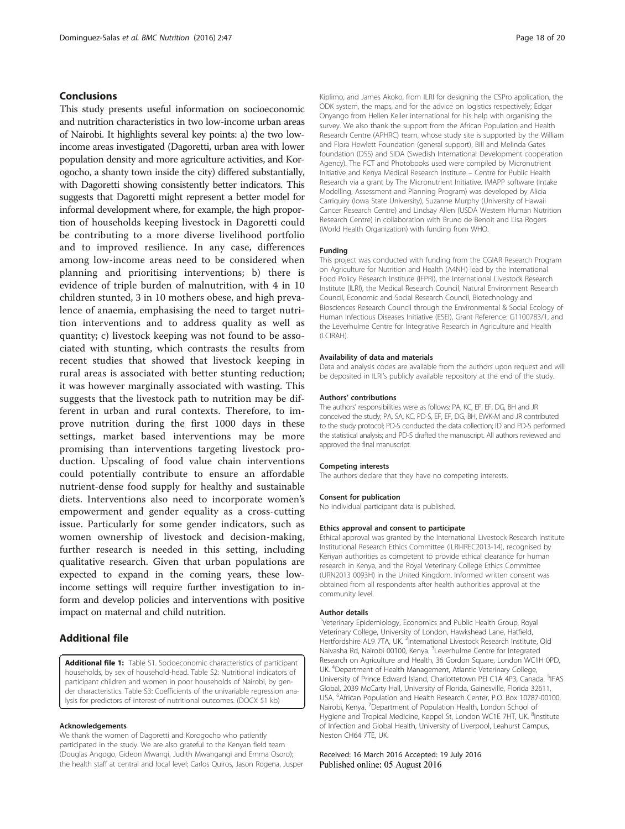## <span id="page-17-0"></span>**Conclusions**

This study presents useful information on socioeconomic and nutrition characteristics in two low-income urban areas of Nairobi. It highlights several key points: a) the two lowincome areas investigated (Dagoretti, urban area with lower population density and more agriculture activities, and Korogocho, a shanty town inside the city) differed substantially, with Dagoretti showing consistently better indicators. This suggests that Dagoretti might represent a better model for informal development where, for example, the high proportion of households keeping livestock in Dagoretti could be contributing to a more diverse livelihood portfolio and to improved resilience. In any case, differences among low-income areas need to be considered when planning and prioritising interventions; b) there is evidence of triple burden of malnutrition, with 4 in 10 children stunted, 3 in 10 mothers obese, and high prevalence of anaemia, emphasising the need to target nutrition interventions and to address quality as well as quantity; c) livestock keeping was not found to be associated with stunting, which contrasts the results from recent studies that showed that livestock keeping in rural areas is associated with better stunting reduction; it was however marginally associated with wasting. This suggests that the livestock path to nutrition may be different in urban and rural contexts. Therefore, to improve nutrition during the first 1000 days in these settings, market based interventions may be more promising than interventions targeting livestock production. Upscaling of food value chain interventions could potentially contribute to ensure an affordable nutrient-dense food supply for healthy and sustainable diets. Interventions also need to incorporate women's empowerment and gender equality as a cross-cutting issue. Particularly for some gender indicators, such as women ownership of livestock and decision-making, further research is needed in this setting, including qualitative research. Given that urban populations are expected to expand in the coming years, these lowincome settings will require further investigation to inform and develop policies and interventions with positive impact on maternal and child nutrition.

## Additional file

[Additional file 1:](dx.doi.org/10.1186/s40795-016-0086-2) Table S1. Socioeconomic characteristics of participant households, by sex of household-head. Table S2: Nutritional indicators of participant children and women in poor households of Nairobi, by gender characteristics. Table S3: Coefficients of the univariable regression analysis for predictors of interest of nutritional outcomes. (DOCX 51 kb)

#### Acknowledgements

We thank the women of Dagoretti and Korogocho who patiently participated in the study. We are also grateful to the Kenyan field team (Douglas Angogo, Gideon Mwangi, Judith Mwangangi and Emma Osoro); the health staff at central and local level; Carlos Quiros, Jason Rogena, Jusper

Kiplimo, and James Akoko, from ILRI for designing the CSPro application, the ODK system, the maps, and for the advice on logistics respectively; Edgar Onyango from Hellen Keller international for his help with organising the survey. We also thank the support from the African Population and Health Research Centre (APHRC) team, whose study site is supported by the William and Flora Hewlett Foundation (general support), Bill and Melinda Gates foundation (DSS) and SIDA (Swedish International Development cooperation Agency). The FCT and Photobooks used were compiled by Micronutrient Initiative and Kenya Medical Research Institute – Centre for Public Health Research via a grant by The Micronutrient Initiative. IMAPP software (Intake Modelling, Assessment and Planning Program) was developed by Alicia Carriquiry (Iowa State University), Suzanne Murphy (University of Hawaii Cancer Research Centre) and Lindsay Allen (USDA Western Human Nutrition Research Centre) in collaboration with Bruno de Benoit and Lisa Rogers (World Health Organization) with funding from WHO.

#### Funding

This project was conducted with funding from the CGIAR Research Program on Agriculture for Nutrition and Health (A4NH) lead by the International Food Policy Research Institute (IFPRI), the International Livestock Research Institute (ILRI), the Medical Research Council, Natural Environment Research Council, Economic and Social Research Council, Biotechnology and Biosciences Research Council through the Environmental & Social Ecology of Human Infectious Diseases Initiative (ESEI), Grant Reference: G1100783/1, and the Leverhulme Centre for Integrative Research in Agriculture and Health (LCIRAH).

#### Availability of data and materials

Data and analysis codes are available from the authors upon request and will be deposited in ILRI's publicly available repository at the end of the study.

#### Authors' contributions

The authors' responsibilities were as follows: PA, KC, EF, EF, DG, BH and JR conceived the study; PA, SA, KC, PD-S, EF, EF, DG, BH, EWK-M and JR contributed to the study protocol; PD-S conducted the data collection; ID and PD-S performed the statistical analysis; and PD-S drafted the manuscript. All authors reviewed and approved the final manuscript.

#### Competing interests

The authors declare that they have no competing interests.

#### Consent for publication

No individual participant data is published.

#### Ethics approval and consent to participate

Ethical approval was granted by the International Livestock Research Institute Institutional Research Ethics Committee (ILRI-IREC2013-14), recognised by Kenyan authorities as competent to provide ethical clearance for human research in Kenya, and the Royal Veterinary College Ethics Committee (URN2013 0093H) in the United Kingdom. Informed written consent was obtained from all respondents after health authorities approval at the community level.

#### Author details

<sup>1</sup>Veterinary Epidemiology, Economics and Public Health Group, Royal Veterinary College, University of London, Hawkshead Lane, Hatfield, Hertfordshire AL9 7TA, UK. <sup>2</sup>International Livestock Research Institute, Old Naivasha Rd, Nairobi 00100, Kenya. <sup>3</sup>Leverhulme Centre for Integrated Research on Agriculture and Health, 36 Gordon Square, London WC1H 0PD, UK. <sup>4</sup>Department of Health Management, Atlantic Veterinary College University of Prince Edward Island, Charlottetown PEI C1A 4P3, Canada. <sup>5</sup>IFAS Global, 2039 McCarty Hall, University of Florida, Gainesville, Florida 32611, USA. <sup>6</sup> African Population and Health Research Center, P.O. Box 10787-00100 Nairobi, Kenya. <sup>7</sup>Department of Population Health, London School of Hygiene and Tropical Medicine, Keppel St, London WC1E 7HT, UK. <sup>8</sup>Institute of Infection and Global Health, University of Liverpool, Leahurst Campus, Neston CH64 7TE, UK.

### Received: 16 March 2016 Accepted: 19 July 2016 Published online: 05 August 2016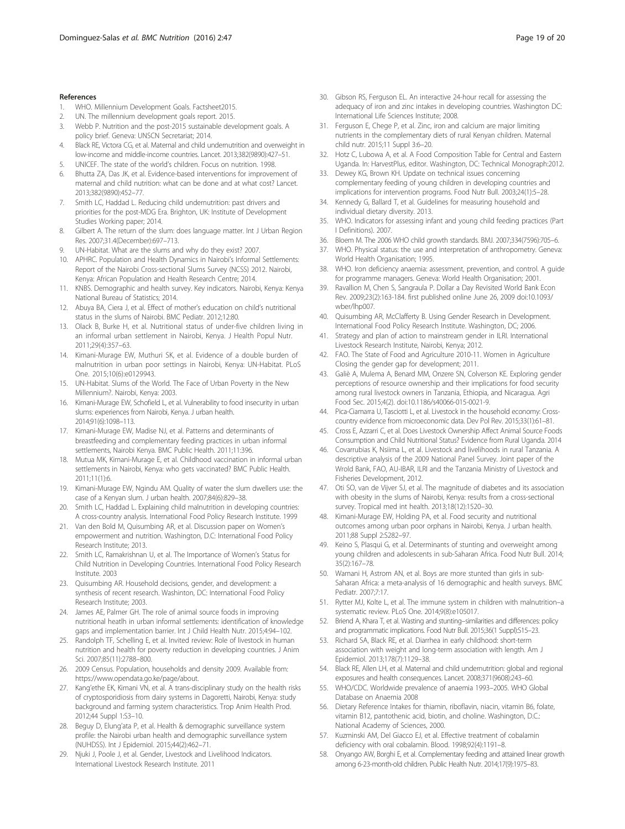#### <span id="page-18-0"></span>References

- 1. WHO. Millennium Development Goals. Factsheet2015.
- 2. UN. The millennium development goals report. 2015.
- 3. Webb P. Nutrition and the post-2015 sustainable development goals. A policy brief. Geneva: UNSCN Secretariat; 2014.
- 4. Black RE, Victora CG, et al. Maternal and child undernutrition and overweight in low-income and middle-income countries. Lancet. 2013;382(9890):427–51.
- 5. UNICEF. The state of the world's children. Focus on nutrition. 1998.
- 6. Bhutta ZA, Das JK, et al. Evidence-based interventions for improvement of maternal and child nutrition: what can be done and at what cost? Lancet. 2013;382(9890):452–77.
- 7. Smith LC, Haddad L. Reducing child undernutrition: past drivers and priorities for the post-MDG Era. Brighton, UK: Institute of Development Studies Working paper; 2014.
- 8. Gilbert A. The return of the slum: does language matter. Int J Urban Region Res. 2007;31.4(December):697–713.
- 9. UN-Habitat. What are the slums and why do they exist? 2007.
- 10. APHRC. Population and Health Dynamics in Nairobi's Informal Settlements: Report of the Nairobi Cross-sectional Slums Survey (NCSS) 2012. Nairobi, Kenya: African Population and Health Research Centre; 2014.
- 11. KNBS. Demographic and health survey. Key indicators. Nairobi, Kenya: Kenya National Bureau of Statistics; 2014.
- 12. Abuya BA, Ciera J, et al. Effect of mother's education on child's nutritional status in the slums of Nairobi. BMC Pediatr. 2012;12:80.
- 13. Olack B, Burke H, et al. Nutritional status of under-five children living in an informal urban settlement in Nairobi, Kenya. J Health Popul Nutr. 2011;29(4):357–63.
- 14. Kimani-Murage EW, Muthuri SK, et al. Evidence of a double burden of malnutrition in urban poor settings in Nairobi, Kenya: UN-Habitat. PLoS One. 2015;10(6):e0129943.
- 15. UN-Habitat. Slums of the World. The Face of Urban Poverty in the New Millennium?. Nairobi, Kenya: 2003.
- 16. Kimani-Murage EW, Schofield L, et al. Vulnerability to food insecurity in urban slums: experiences from Nairobi, Kenya. J urban health. 2014;91(6):1098–113.
- 17. Kimani-Murage EW, Madise NJ, et al. Patterns and determinants of breastfeeding and complementary feeding practices in urban informal settlements, Nairobi Kenya. BMC Public Health. 2011;11:396.
- 18. Mutua MK, Kimani-Murage E, et al. Childhood vaccination in informal urban settlements in Nairobi, Kenya: who gets vaccinated? BMC Public Health. 2011;11(1):6.
- 19. Kimani-Murage EW, Ngindu AM. Quality of water the slum dwellers use: the case of a Kenyan slum. J urban health. 2007;84(6):829–38.
- 20. Smith LC, Haddad L. Explaining child malnutrition in developing countries: A cross-country analysis. International Food Policy Research Institute. 1999
- 21. Van den Bold M, Quisumbing AR, et al. Discussion paper on Women's empowerment and nutrition. Washington, D.C: International Food Policy Research Institute; 2013.
- 22. Smith LC, Ramakrishnan U, et al. The Importance of Women's Status for Child Nutrition in Developing Countries. International Food Policy Research Institute. 2003
- 23. Quisumbing AR. Household decisions, gender, and development: a synthesis of recent research. Washinton, DC: International Food Policy Research Institute; 2003.
- 24. James AE, Palmer GH. The role of animal source foods in improving nutritional heatlh in urban informal settlements: identification of knowledge gaps and implementation barrier. Int J Child Health Nutr. 2015;4:94–102.
- 25. Randolph TF, Schelling E, et al. Invited review: Role of livestock in human nutrition and health for poverty reduction in developing countries. J Anim Sci. 2007;85(11):2788–800.
- 26. 2009 Census. Population, households and density 2009. Available from: <https://www.opendata.go.ke/page/about>.
- 27. Kang'ethe EK, Kimani VN, et al. A trans-disciplinary study on the health risks of cryptosporidiosis from dairy systems in Dagoretti, Nairobi, Kenya: study background and farming system characteristics. Trop Anim Health Prod. 2012;44 Suppl 1:S3–10.
- 28. Beguy D, Elung'ata P, et al. Health & demographic surveillance system profile: the Nairobi urban health and demographic surveillance system (NUHDSS). Int J Epidemiol. 2015;44(2):462–71.
- 29. Njuki J, Poole J, et al. Gender, Livestock and Livelihood Indicators. International Livestock Research Institute. 2011
- 30. Gibson RS, Ferguson EL. An interactive 24-hour recall for assessing the adequacy of iron and zinc intakes in developing countries. Washington DC: International Life Sciences Institute; 2008.
- 31. Ferguson E, Chege P, et al. Zinc, iron and calcium are major limiting nutrients in the complementary diets of rural Kenyan children. Maternal child nutr. 2015;11 Suppl 3:6–20.
- 32. Hotz C, Lubowa A, et al. A Food Composition Table for Central and Eastern Uganda. In: HarvestPlus, editor. Washington, DC: Technical Monograph:2012.
- 33. Dewey KG, Brown KH. Update on technical issues concerning complementary feeding of young children in developing countries and implications for intervention programs. Food Nutr Bull. 2003;24(1):5–28.
- 34. Kennedy G, Ballard T, et al. Guidelines for measuring household and individual dietary diversity. 2013.
- 35. WHO. Indicators for assessing infant and young child feeding practices (Part I Definitions). 2007.
- 36. Bloem M. The 2006 WHO child growth standards. BMJ. 2007;334(7596):705–6.
- 37. WHO. Physical status: the use and interpretation of anthropometry. Geneva: World Health Organisation; 1995.
- 38. WHO. Iron deficiency anaemia: assessment, prevention, and control. A guide for programme managers. Geneva: World Health Organisation; 2001.
- 39. Ravallion M, Chen S, Sangraula P. Dollar a Day Revisited World Bank Econ Rev. 2009;23(2):163-184. first published online June 26, 2009 doi[:10.1093/](http://dx.doi.org/10.1093/wber/lhp007) [wber/lhp007](http://dx.doi.org/10.1093/wber/lhp007).
- 40. Quisumbing AR, McClafferty B. Using Gender Research in Development. International Food Policy Research Institute. Washington, DC; 2006.
- 41. Strategy and plan of action to mainstream gender in ILRI. International Livestock Research Institute, Nairobi, Kenya; 2012.
- 42. FAO. The State of Food and Agriculture 2010-11. Women in Agriculture Closing the gender gap for development; 2011.
- 43. Galiè A, Mulema A, Benard MM, Onzere SN, Colverson KE. Exploring gender perceptions of resource ownership and their implications for food security among rural livestock owners in Tanzania, Ethiopia, and Nicaragua. Agri Food Sec. 2015;4(2). doi:[10.1186/s40066-015-0021-9.](http://dx.doi.org/10.1186/s40066-015-0021-9)
- 44. Pica-Ciamarra U, Tasciotti L, et al. Livestock in the household economy: Crosscountry evidence from microeconomic data. Dev Pol Rev. 2015;33(1):61–81.
- 45. Cross E, Azzarri C, et al. Does Livestock Ownership Affect Animal Source Foods Consumption and Child Nutritional Status? Evidence from Rural Uganda. 2014
- 46. Covarrubias K, Nsiima L, et al. Livestock and livelihoods in rural Tanzania. A descriptive analysis of the 2009 National Panel Survey. Joint paper of the Wrold Bank, FAO, AU-IBAR, ILRI and the Tanzania Ministry of Livestock and Fisheries Development, 2012.
- 47. Oti SO, van de Vijver SJ, et al. The magnitude of diabetes and its association with obesity in the slums of Nairobi, Kenya: results from a cross-sectional survey. Tropical med int health. 2013;18(12):1520–30.
- 48. Kimani-Murage EW, Holding PA, et al. Food security and nutritional outcomes among urban poor orphans in Nairobi, Kenya. J urban health. 2011;88 Suppl 2:S282–97.
- 49. Keino S, Plasqui G, et al. Determinants of stunting and overweight among young children and adolescents in sub-Saharan Africa. Food Nutr Bull. 2014; 35(2):167–78.
- 50. Wamani H, Astrom AN, et al. Boys are more stunted than girls in sub-Saharan Africa: a meta-analysis of 16 demographic and health surveys. BMC Pediatr. 2007;7:17.
- 51. Rytter MJ, Kolte L, et al. The immune system in children with malnutrition–a systematic review. PLoS One. 2014;9(8):e105017.
- 52. Briend A, Khara T, et al. Wasting and stunting–similarities and differences: policy and programmatic implications. Food Nutr Bull. 2015;36(1 Suppl):S15–23.
- 53. Richard SA, Black RE, et al. Diarrhea in early childhood: short-term association with weight and long-term association with length. Am J Epidemiol. 2013;178(7):1129–38.
- 54. Black RE, Allen LH, et al. Maternal and child undernutrition: global and regional exposures and health consequences. Lancet. 2008;371(9608):243–60.
- 55. WHO/CDC. Worldwide prevalence of anaemia 1993–2005. WHO Global Database on Anaemia 2008
- 56. Dietary Reference Intakes for thiamin, riboflavin, niacin, vitamin B6, folate, vitamin B12, pantothenic acid, biotin, and choline. Washington, D.C.: National Academy of Sciences, 2000.
- 57. Kuzminski AM, Del Giacco EJ, et al. Effective treatment of cobalamin deficiency with oral cobalamin. Blood. 1998;92(4):1191–8.
- 58. Onyango AW, Borghi E, et al. Complementary feeding and attained linear growth among 6-23-month-old children. Public Health Nutr. 2014;17(9):1975–83.